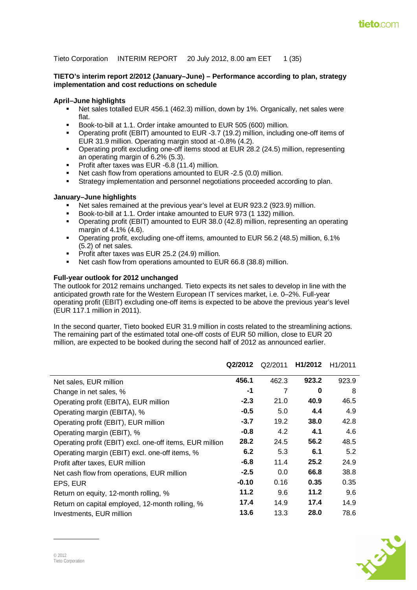Tieto Corporation INTERIM REPORT 20 July 2012, 8.00 am EET 1 (35)

#### **TIETO's interim report 2/2012 (January–June) – Performance according to plan, strategy implementation and cost reductions on schedule**

#### **April–June highlights**

- Net sales totalled EUR 456.1 (462.3) million, down by 1%. Organically, net sales were flat.
- Book-to-bill at 1.1. Order intake amounted to EUR 505 (600) million.
- Operating profit (EBIT) amounted to EUR -3.7 (19.2) million, including one-off items of EUR 31.9 million. Operating margin stood at -0.8% (4.2).
- Operating profit excluding one-off items stood at EUR 28.2 (24.5) million, representing an operating margin of 6.2% (5.3).
- **Profit after taxes was EUR -6.8 (11.4) million.**
- Net cash flow from operations amounted to EUR -2.5 (0.0) million.
- Strategy implementation and personnel negotiations proceeded according to plan.

#### **January–June highlights**

- Net sales remained at the previous year's level at EUR 923.2 (923.9) million.
- Book-to-bill at 1.1. Order intake amounted to EUR 973 (1 132) million.
- Operating profit (EBIT) amounted to EUR 38.0 (42.8) million, representing an operating margin of 4.1% (4.6).
- Operating profit, excluding one-off items, amounted to EUR 56.2 (48.5) million, 6.1% (5.2) of net sales.
- Profit after taxes was EUR 25.2 (24.9) million.
- Net cash flow from operations amounted to EUR 66.8 (38.8) million.

#### **Full-year outlook for 2012 unchanged**

The outlook for 2012 remains unchanged. Tieto expects its net sales to develop in line with the anticipated growth rate for the Western European IT services market, i.e. 0–2%. Full-year operating profit (EBIT) excluding one-off items is expected to be above the previous year's level (EUR 117.1 million in 2011).

In the second quarter, Tieto booked EUR 31.9 million in costs related to the streamlining actions. The remaining part of the estimated total one-off costs of EUR 50 million, close to EUR 20 million, are expected to be booked during the second half of 2012 as announced earlier.

|                                                          | Q2/2012 | Q2/2011 | H1/2012 | H <sub>1</sub> /2011 |
|----------------------------------------------------------|---------|---------|---------|----------------------|
| Net sales, EUR million                                   | 456.1   | 462.3   | 923.2   | 923.9                |
| Change in net sales, %                                   | -1      | 7       | 0       | 8                    |
| Operating profit (EBITA), EUR million                    | $-2.3$  | 21.0    | 40.9    | 46.5                 |
| Operating margin (EBITA), %                              | $-0.5$  | 5.0     | 4.4     | 4.9                  |
| Operating profit (EBIT), EUR million                     | $-3.7$  | 19.2    | 38.0    | 42.8                 |
| Operating margin (EBIT), %                               | $-0.8$  | 4.2     | 4.1     | 4.6                  |
| Operating profit (EBIT) excl. one-off items, EUR million | 28.2    | 24.5    | 56.2    | 48.5                 |
| Operating margin (EBIT) excl. one-off items, %           | 6.2     | 5.3     | 6.1     | 5.2                  |
| Profit after taxes, EUR million                          | $-6.8$  | 11.4    | 25.2    | 24.9                 |
| Net cash flow from operations, EUR million               | $-2.5$  | 0.0     | 66.8    | 38.8                 |
| EPS, EUR                                                 | $-0.10$ | 0.16    | 0.35    | 0.35                 |
| Return on equity, 12-month rolling, %                    | 11.2    | 9.6     | 11.2    | 9.6                  |
| Return on capital employed, 12-month rolling, %          | 17.4    | 14.9    | 17.4    | 14.9                 |
| Investments, EUR million                                 | 13.6    | 13.3    | 28.0    | 78.6                 |

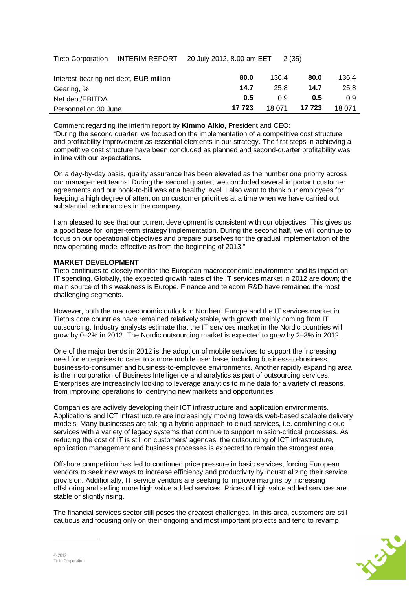|  | Tieto Corporation INTERIM REPORT | 20 July 2012, 8.00 am EET | 2 (35) |
|--|----------------------------------|---------------------------|--------|
|--|----------------------------------|---------------------------|--------|

| Interest-bearing net debt, EUR million | 80.0   | 136.4  | 80.0   | 136.4  |
|----------------------------------------|--------|--------|--------|--------|
| Gearing, %                             | 14.7   | 25.8   | 14.7   | 25.8   |
| Net debt/EBITDA                        | 0.5    | 0 9    | 0.5    | 0.9    |
| Personnel on 30 June                   | 17 723 | 18 071 | 17 723 | 18 071 |

Comment regarding the interim report by **Kimmo Alkio**, President and CEO: "During the second quarter, we focused on the implementation of a competitive cost structure and profitability improvement as essential elements in our strategy. The first steps in achieving a competitive cost structure have been concluded as planned and second-quarter profitability was in line with our expectations.

On a day-by-day basis, quality assurance has been elevated as the number one priority across our management teams. During the second quarter, we concluded several important customer agreements and our book-to-bill was at a healthy level. I also want to thank our employees for keeping a high degree of attention on customer priorities at a time when we have carried out substantial redundancies in the company.

I am pleased to see that our current development is consistent with our objectives. This gives us a good base for longer-term strategy implementation. During the second half, we will continue to focus on our operational objectives and prepare ourselves for the gradual implementation of the new operating model effective as from the beginning of 2013."

#### **MARKET DEVELOPMENT**

Tieto continues to closely monitor the European macroeconomic environment and its impact on IT spending. Globally, the expected growth rates of the IT services market in 2012 are down; the main source of this weakness is Europe. Finance and telecom R&D have remained the most challenging segments.

However, both the macroeconomic outlook in Northern Europe and the IT services market in Tieto's core countries have remained relatively stable, with growth mainly coming from IT outsourcing. Industry analysts estimate that the IT services market in the Nordic countries will grow by 0–2% in 2012. The Nordic outsourcing market is expected to grow by 2–3% in 2012.

One of the major trends in 2012 is the adoption of mobile services to support the increasing need for enterprises to cater to a more mobile user base, including business-to-business, business-to-consumer and business-to-employee environments. Another rapidly expanding area is the incorporation of Business Intelligence and analytics as part of outsourcing services. Enterprises are increasingly looking to leverage analytics to mine data for a variety of reasons, from improving operations to identifying new markets and opportunities.

Companies are actively developing their ICT infrastructure and application environments. Applications and ICT infrastructure are increasingly moving towards web-based scalable delivery models. Many businesses are taking a hybrid approach to cloud services, i.e. combining cloud services with a variety of legacy systems that continue to support mission-critical processes. As reducing the cost of IT is still on customers' agendas, the outsourcing of ICT infrastructure, application management and business processes is expected to remain the strongest area.

Offshore competition has led to continued price pressure in basic services, forcing European vendors to seek new ways to increase efficiency and productivity by industrializing their service provision. Additionally, IT service vendors are seeking to improve margins by increasing offshoring and selling more high value added services. Prices of high value added services are stable or slightly rising.

The financial services sector still poses the greatest challenges. In this area, customers are still cautious and focusing only on their ongoing and most important projects and tend to revamp

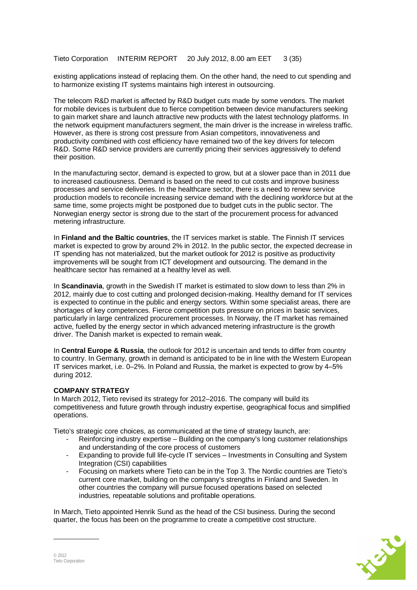Tieto Corporation INTERIM REPORT 20 July 2012, 8.00 am EET 3 (35)

existing applications instead of replacing them. On the other hand, the need to cut spending and to harmonize existing IT systems maintains high interest in outsourcing.

The telecom R&D market is affected by R&D budget cuts made by some vendors. The market for mobile devices is turbulent due to fierce competition between device manufacturers seeking to gain market share and launch attractive new products with the latest technology platforms. In the network equipment manufacturers segment, the main driver is the increase in wireless traffic. However, as there is strong cost pressure from Asian competitors, innovativeness and productivity combined with cost efficiency have remained two of the key drivers for telecom R&D. Some R&D service providers are currently pricing their services aggressively to defend their position.

In the manufacturing sector, demand is expected to grow, but at a slower pace than in 2011 due to increased cautiousness. Demand is based on the need to cut costs and improve business processes and service deliveries. In the healthcare sector, there is a need to renew service production models to reconcile increasing service demand with the declining workforce but at the same time, some projects might be postponed due to budget cuts in the public sector. The Norwegian energy sector is strong due to the start of the procurement process for advanced metering infrastructure.

In **Finland and the Baltic countries**, the IT services market is stable. The Finnish IT services market is expected to grow by around 2% in 2012. In the public sector, the expected decrease in IT spending has not materialized, but the market outlook for 2012 is positive as productivity improvements will be sought from ICT development and outsourcing. The demand in the healthcare sector has remained at a healthy level as well.

In **Scandinavia**, growth in the Swedish IT market is estimated to slow down to less than 2% in 2012, mainly due to cost cutting and prolonged decision-making. Healthy demand for IT services is expected to continue in the public and energy sectors. Within some specialist areas, there are shortages of key competences. Fierce competition puts pressure on prices in basic services, particularly in large centralized procurement processes. In Norway, the IT market has remained active, fuelled by the energy sector in which advanced metering infrastructure is the growth driver. The Danish market is expected to remain weak.

In **Central Europe & Russia**, the outlook for 2012 is uncertain and tends to differ from country to country. In Germany, growth in demand is anticipated to be in line with the Western European IT services market, i.e. 0–2%. In Poland and Russia, the market is expected to grow by 4–5% during 2012.

# **COMPANY STRATEGY**

In March 2012, Tieto revised its strategy for 2012–2016. The company will build its competitiveness and future growth through industry expertise, geographical focus and simplified operations.

Tieto's strategic core choices, as communicated at the time of strategy launch, are:

- Reinforcing industry expertise Building on the company's long customer relationships and understanding of the core process of customers
- Expanding to provide full life-cycle IT services Investments in Consulting and System Integration (CSI) capabilities
- Focusing on markets where Tieto can be in the Top 3. The Nordic countries are Tieto's current core market, building on the company's strengths in Finland and Sweden. In other countries the company will pursue focused operations based on selected industries, repeatable solutions and profitable operations.

In March, Tieto appointed Henrik Sund as the head of the CSI business. During the second quarter, the focus has been on the programme to create a competitive cost structure.

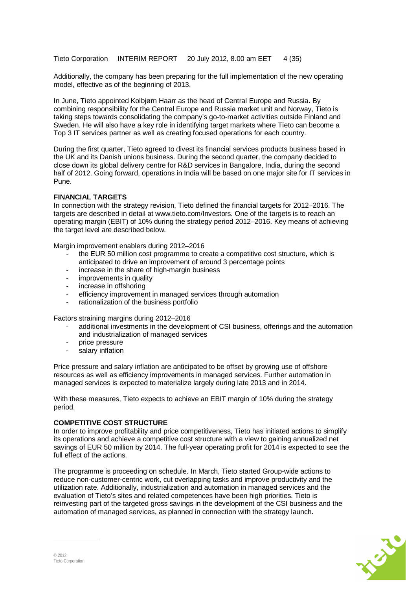Tieto Corporation INTERIM REPORT 20 July 2012, 8.00 am EET 4 (35)

Additionally, the company has been preparing for the full implementation of the new operating model, effective as of the beginning of 2013.

In June, Tieto appointed Kolbjørn Haarr as the head of Central Europe and Russia. By combining responsibility for the Central Europe and Russia market unit and Norway, Tieto is taking steps towards consolidating the company's go-to-market activities outside Finland and Sweden. He will also have a key role in identifying target markets where Tieto can become a Top 3 IT services partner as well as creating focused operations for each country.

During the first quarter, Tieto agreed to divest its financial services products business based in the UK and its Danish unions business. During the second quarter, the company decided to close down its global delivery centre for R&D services in Bangalore, India, during the second half of 2012. Going forward, operations in India will be based on one major site for IT services in Pune.

#### **FINANCIAL TARGETS**

In connection with the strategy revision, Tieto defined the financial targets for 2012–2016. The targets are described in detail at www.tieto.com/Investors. One of the targets is to reach an operating margin (EBIT) of 10% during the strategy period 2012–2016. Key means of achieving the target level are described below.

Margin improvement enablers during 2012–2016

- the EUR 50 million cost programme to create a competitive cost structure, which is anticipated to drive an improvement of around 3 percentage points
- increase in the share of high-margin business
- improvements in quality
- increase in offshoring
- efficiency improvement in managed services through automation
- rationalization of the business portfolio

Factors straining margins during 2012–2016

- additional investments in the development of CSI business, offerings and the automation and industrialization of managed services
- price pressure
- salary inflation

Price pressure and salary inflation are anticipated to be offset by growing use of offshore resources as well as efficiency improvements in managed services. Further automation in managed services is expected to materialize largely during late 2013 and in 2014.

With these measures, Tieto expects to achieve an EBIT margin of 10% during the strategy period.

#### **COMPETITIVE COST STRUCTURE**

In order to improve profitability and price competitiveness, Tieto has initiated actions to simplify its operations and achieve a competitive cost structure with a view to gaining annualized net savings of EUR 50 million by 2014. The full-year operating profit for 2014 is expected to see the full effect of the actions.

The programme is proceeding on schedule. In March, Tieto started Group-wide actions to reduce non-customer-centric work, cut overlapping tasks and improve productivity and the utilization rate. Additionally, industrialization and automation in managed services and the evaluation of Tieto's sites and related competences have been high priorities. Tieto is reinvesting part of the targeted gross savings in the development of the CSI business and the automation of managed services, as planned in connection with the strategy launch.

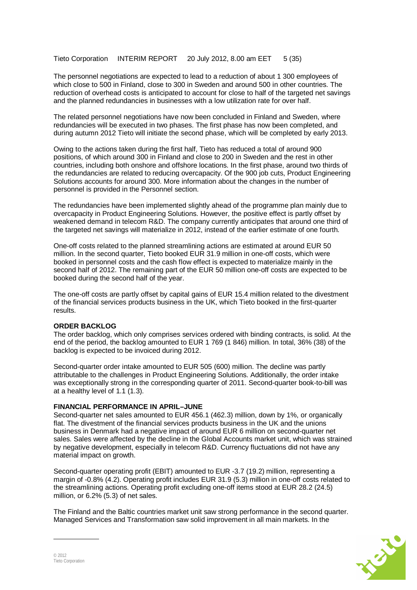Tieto Corporation INTERIM REPORT 20 July 2012, 8.00 am EET 5 (35)

The personnel negotiations are expected to lead to a reduction of about 1 300 employees of which close to 500 in Finland, close to 300 in Sweden and around 500 in other countries. The reduction of overhead costs is anticipated to account for close to half of the targeted net savings and the planned redundancies in businesses with a low utilization rate for over half.

The related personnel negotiations have now been concluded in Finland and Sweden, where redundancies will be executed in two phases. The first phase has now been completed, and during autumn 2012 Tieto will initiate the second phase, which will be completed by early 2013.

Owing to the actions taken during the first half, Tieto has reduced a total of around 900 positions, of which around 300 in Finland and close to 200 in Sweden and the rest in other countries, including both onshore and offshore locations. In the first phase, around two thirds of the redundancies are related to reducing overcapacity. Of the 900 job cuts, Product Engineering Solutions accounts for around 300. More information about the changes in the number of personnel is provided in the Personnel section.

The redundancies have been implemented slightly ahead of the programme plan mainly due to overcapacity in Product Engineering Solutions. However, the positive effect is partly offset by weakened demand in telecom R&D. The company currently anticipates that around one third of the targeted net savings will materialize in 2012, instead of the earlier estimate of one fourth.

One-off costs related to the planned streamlining actions are estimated at around EUR 50 million. In the second quarter, Tieto booked EUR 31.9 million in one-off costs, which were booked in personnel costs and the cash flow effect is expected to materialize mainly in the second half of 2012. The remaining part of the EUR 50 million one-off costs are expected to be booked during the second half of the year.

The one-off costs are partly offset by capital gains of EUR 15.4 million related to the divestment of the financial services products business in the UK, which Tieto booked in the first-quarter results.

#### **ORDER BACKLOG**

The order backlog, which only comprises services ordered with binding contracts, is solid. At the end of the period, the backlog amounted to EUR 1 769 (1 846) million. In total, 36% (38) of the backlog is expected to be invoiced during 2012.

Second-quarter order intake amounted to EUR 505 (600) million. The decline was partly attributable to the challenges in Product Engineering Solutions. Additionally, the order intake was exceptionally strong in the corresponding quarter of 2011. Second-quarter book-to-bill was at a healthy level of 1.1 (1.3).

#### **FINANCIAL PERFORMANCE IN APRIL–JUNE**

Second-quarter net sales amounted to EUR 456.1 (462.3) million, down by 1%, or organically flat. The divestment of the financial services products business in the UK and the unions business in Denmark had a negative impact of around EUR 6 million on second-quarter net sales. Sales were affected by the decline in the Global Accounts market unit, which was strained by negative development, especially in telecom R&D. Currency fluctuations did not have any material impact on growth.

Second-quarter operating profit (EBIT) amounted to EUR -3.7 (19.2) million, representing a margin of -0.8% (4.2). Operating profit includes EUR 31.9 (5.3) million in one-off costs related to the streamlining actions. Operating profit excluding one-off items stood at EUR 28.2 (24.5) million, or 6.2% (5.3) of net sales.

The Finland and the Baltic countries market unit saw strong performance in the second quarter. Managed Services and Transformation saw solid improvement in all main markets. In the

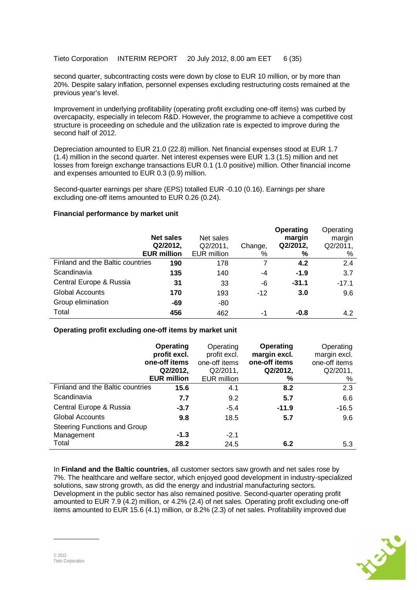Tieto Corporation INTERIM REPORT 20 July 2012, 8.00 am EET 6 (35)

second quarter, subcontracting costs were down by close to EUR 10 million, or by more than 20%. Despite salary inflation, personnel expenses excluding restructuring costs remained at the previous year's level.

Improvement in underlying profitability (operating profit excluding one-off items) was curbed by overcapacity, especially in telecom R&D. However, the programme to achieve a competitive cost structure is proceeding on schedule and the utilization rate is expected to improve during the second half of 2012.

Depreciation amounted to EUR 21.0 (22.8) million. Net financial expenses stood at EUR 1.7 (1.4) million in the second quarter. Net interest expenses were EUR 1.3 (1.5) million and net losses from foreign exchange transactions EUR 0.1 (1.0 positive) million. Other financial income and expenses amounted to EUR 0.3 (0.9) million.

Second-quarter earnings per share (EPS) totalled EUR -0.10 (0.16). Earnings per share excluding one-off items amounted to EUR 0.26 (0.24).

#### **Financial performance by market unit**

|                                  | <b>Net sales</b><br>Q2/2012,<br><b>EUR million</b> | Net sales<br>Q2/2011,<br><b>EUR</b> million | Change,<br>% | Operating<br>margin<br>Q2/2012,<br>% | Operating<br>margin<br>Q2/2011,<br>% |
|----------------------------------|----------------------------------------------------|---------------------------------------------|--------------|--------------------------------------|--------------------------------------|
| Finland and the Baltic countries | 190                                                | 178                                         |              | 4.2                                  | 2.4                                  |
| Scandinavia                      | 135                                                | 140                                         | -4           | $-1.9$                               | 3.7                                  |
| Central Europe & Russia          | 31                                                 | 33                                          | -6           | $-31.1$                              | $-17.1$                              |
| <b>Global Accounts</b>           | 170                                                | 193                                         | $-12$        | 3.0                                  | 9.6                                  |
| Group elimination                | -69                                                | $-80$                                       |              |                                      |                                      |
| Total                            | 456                                                | 462                                         | $-1$         | -0.8                                 | 4.2                                  |

#### **Operating profit excluding one-off items by market unit**

|                                  | Operating<br>profit excl.<br>one-off items<br>Q2/2012,<br><b>EUR million</b> | Operating<br>profit excl.<br>one-off items<br>Q2/2011,<br><b>EUR</b> million | <b>Operating</b><br>margin excl.<br>one-off items<br>Q2/2012,<br>% | Operating<br>margin excl.<br>one-off items<br>Q2/2011,<br>% |
|----------------------------------|------------------------------------------------------------------------------|------------------------------------------------------------------------------|--------------------------------------------------------------------|-------------------------------------------------------------|
| Finland and the Baltic countries | 15.6                                                                         | 4.1                                                                          | 8.2                                                                | 2.3                                                         |
| Scandinavia                      | 7.7                                                                          | 9.2                                                                          | 5.7                                                                | 6.6                                                         |
| Central Europe & Russia          | $-3.7$                                                                       | $-5.4$                                                                       | $-11.9$                                                            | $-16.5$                                                     |
| <b>Global Accounts</b>           | 9.8                                                                          | 18.5                                                                         | 5.7                                                                | 9.6                                                         |
| Steering Functions and Group     |                                                                              |                                                                              |                                                                    |                                                             |
| Management                       | $-1.3$                                                                       | $-2.1$                                                                       |                                                                    |                                                             |
| Total                            | 28.2                                                                         | 24.5                                                                         | 6.2                                                                | 5.3                                                         |

In **Finland and the Baltic countries**, all customer sectors saw growth and net sales rose by 7%. The healthcare and welfare sector, which enjoyed good development in industry-specialized solutions, saw strong growth, as did the energy and industrial manufacturing sectors. Development in the public sector has also remained positive. Second-quarter operating profit amounted to EUR 7.9 (4.2) million, or 4.2% (2.4) of net sales. Operating profit excluding one-off items amounted to EUR 15.6 (4.1) million, or 8.2% (2.3) of net sales. Profitability improved due

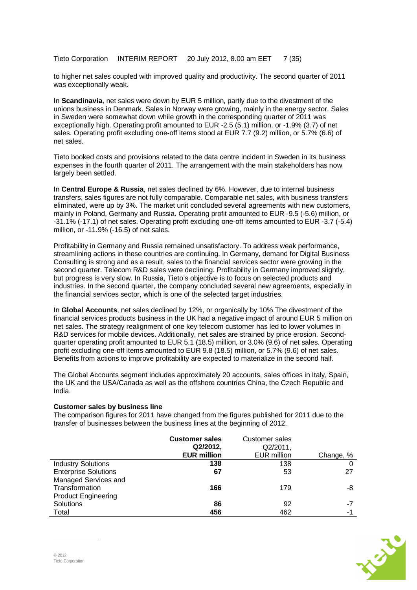Tieto Corporation INTERIM REPORT 20 July 2012, 8.00 am EET 7 (35)

to higher net sales coupled with improved quality and productivity. The second quarter of 2011 was exceptionally weak.

In **Scandinavia**, net sales were down by EUR 5 million, partly due to the divestment of the unions business in Denmark. Sales in Norway were growing, mainly in the energy sector. Sales in Sweden were somewhat down while growth in the corresponding quarter of 2011 was exceptionally high. Operating profit amounted to EUR -2.5 (5.1) million, or -1.9% (3.7) of net sales. Operating profit excluding one-off items stood at EUR 7.7 (9.2) million, or 5.7% (6.6) of net sales.

Tieto booked costs and provisions related to the data centre incident in Sweden in its business expenses in the fourth quarter of 2011. The arrangement with the main stakeholders has now largely been settled.

In **Central Europe & Russia**, net sales declined by 6%. However, due to internal business transfers, sales figures are not fully comparable. Comparable net sales, with business transfers eliminated, were up by 3%. The market unit concluded several agreements with new customers, mainly in Poland, Germany and Russia. Operating profit amounted to EUR -9.5 (-5.6) million, or -31.1% (-17.1) of net sales. Operating profit excluding one-off items amounted to EUR -3.7 (-5.4) million, or -11.9% (-16.5) of net sales.

Profitability in Germany and Russia remained unsatisfactory. To address weak performance, streamlining actions in these countries are continuing. In Germany, demand for Digital Business Consulting is strong and as a result, sales to the financial services sector were growing in the second quarter. Telecom R&D sales were declining. Profitability in Germany improved slightly, but progress is very slow. In Russia, Tieto's objective is to focus on selected products and industries. In the second quarter, the company concluded several new agreements, especially in the financial services sector, which is one of the selected target industries.

In **Global Accounts**, net sales declined by 12%, or organically by 10%.The divestment of the financial services products business in the UK had a negative impact of around EUR 5 million on net sales. The strategy realignment of one key telecom customer has led to lower volumes in R&D services for mobile devices. Additionally, net sales are strained by price erosion. Secondquarter operating profit amounted to EUR 5.1 (18.5) million, or 3.0% (9.6) of net sales. Operating profit excluding one-off items amounted to EUR 9.8 (18.5) million, or 5.7% (9.6) of net sales. Benefits from actions to improve profitability are expected to materialize in the second half.

The Global Accounts segment includes approximately 20 accounts, sales offices in Italy, Spain, the UK and the USA/Canada as well as the offshore countries China, the Czech Republic and India.

#### **Customer sales by business line**

The comparison figures for 2011 have changed from the figures published for 2011 due to the transfer of businesses between the business lines at the beginning of 2012.

|                             | <b>Customer sales</b><br>Q2/2012, | Customer sales<br>Q2/2011, |           |
|-----------------------------|-----------------------------------|----------------------------|-----------|
|                             | <b>EUR million</b>                | <b>EUR million</b>         | Change, % |
| <b>Industry Solutions</b>   | 138                               | 138                        |           |
| <b>Enterprise Solutions</b> | 67                                | 53                         | 27        |
| Managed Services and        |                                   |                            |           |
| Transformation              | 166                               | 179                        | -8        |
| <b>Product Engineering</b>  |                                   |                            |           |
| Solutions                   | 86                                | 92                         | -7        |
| Total                       | 456                               | 462                        | -1        |

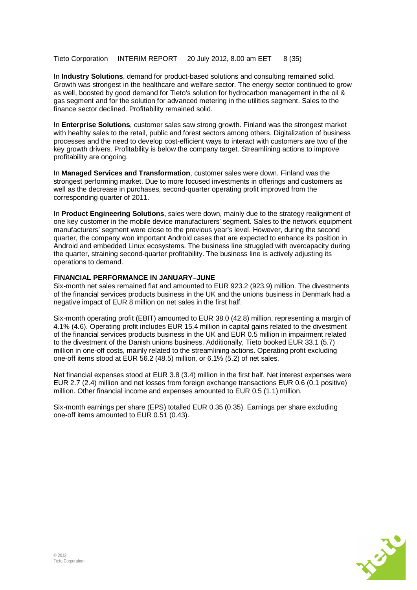Tieto Corporation INTERIM REPORT 20 July 2012, 8.00 am EET 8 (35)

In **Industry Solutions**, demand for product-based solutions and consulting remained solid. Growth was strongest in the healthcare and welfare sector. The energy sector continued to grow as well, boosted by good demand for Tieto's solution for hydrocarbon management in the oil & gas segment and for the solution for advanced metering in the utilities segment. Sales to the finance sector declined. Profitability remained solid.

In **Enterprise Solutions**, customer sales saw strong growth. Finland was the strongest market with healthy sales to the retail, public and forest sectors among others. Digitalization of business processes and the need to develop cost-efficient ways to interact with customers are two of the key growth drivers. Profitability is below the company target. Streamlining actions to improve profitability are ongoing.

In **Managed Services and Transformation**, customer sales were down. Finland was the strongest performing market. Due to more focused investments in offerings and customers as well as the decrease in purchases, second-quarter operating profit improved from the corresponding quarter of 2011.

In **Product Engineering Solutions**, sales were down, mainly due to the strategy realignment of one key customer in the mobile device manufacturers' segment. Sales to the network equipment manufacturers' segment were close to the previous year's level. However, during the second quarter, the company won important Android cases that are expected to enhance its position in Android and embedded Linux ecosystems. The business line struggled with overcapacity during the quarter, straining second-quarter profitability. The business line is actively adjusting its operations to demand.

#### **FINANCIAL PERFORMANCE IN JANUARY–JUNE**

Six-month net sales remained flat and amounted to EUR 923.2 (923.9) million. The divestments of the financial services products business in the UK and the unions business in Denmark had a negative impact of EUR 8 million on net sales in the first half.

Six-month operating profit (EBIT) amounted to EUR 38.0 (42.8) million, representing a margin of 4.1% (4.6). Operating profit includes EUR 15.4 million in capital gains related to the divestment of the financial services products business in the UK and EUR 0.5 million in impairment related to the divestment of the Danish unions business. Additionally, Tieto booked EUR 33.1 (5.7) million in one-off costs, mainly related to the streamlining actions. Operating profit excluding one-off items stood at EUR 56.2 (48.5) million, or 6.1% (5.2) of net sales.

Net financial expenses stood at EUR 3.8 (3.4) million in the first half. Net interest expenses were EUR 2.7 (2.4) million and net losses from foreign exchange transactions EUR 0.6 (0.1 positive) million. Other financial income and expenses amounted to EUR 0.5 (1.1) million.

Six-month earnings per share (EPS) totalled EUR 0.35 (0.35). Earnings per share excluding one-off items amounted to EUR 0.51 (0.43).

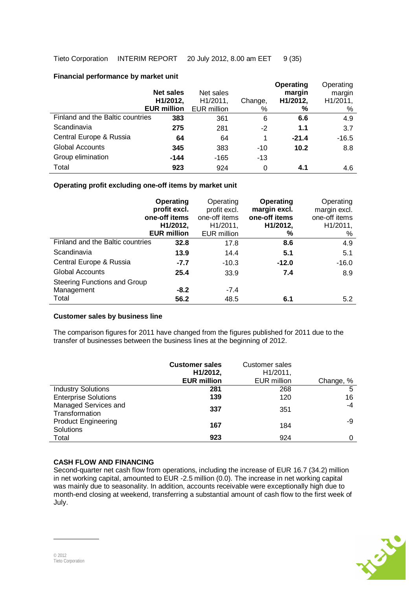## **Financial performance by market unit**

|                                  | <b>Net sales</b><br>H1/2012,<br><b>EUR million</b> | Net sales<br>H1/2011,<br><b>EUR million</b> | Change,<br>% | Operating<br>margin<br>H1/2012,<br>% | Operating<br>margin<br>H1/2011,<br>% |
|----------------------------------|----------------------------------------------------|---------------------------------------------|--------------|--------------------------------------|--------------------------------------|
| Finland and the Baltic countries | 383                                                | 361                                         | 6            | 6.6                                  | 4.9                                  |
| Scandinavia                      | 275                                                | 281                                         | $-2$         | 1.1                                  | 3.7                                  |
| Central Europe & Russia          | 64                                                 | 64                                          | 1            | $-21.4$                              | $-16.5$                              |
| <b>Global Accounts</b>           | 345                                                | 383                                         | $-10$        | 10.2                                 | 8.8                                  |
| Group elimination                | $-144$                                             | $-165$                                      | $-13$        |                                      |                                      |
| Total                            | 923                                                | 924                                         | 0            | 4.1                                  | 4.6                                  |

## **Operating profit excluding one-off items by market unit**

|                                     | Operating<br>profit excl.<br>one-off items<br>H1/2012,<br><b>EUR million</b> | Operating<br>profit excl.<br>one-off items<br>H1/2011,<br>EUR million | <b>Operating</b><br>margin excl.<br>one-off items<br>H1/2012,<br>% | Operating<br>margin excl.<br>one-off items<br>H1/2011,<br>% |
|-------------------------------------|------------------------------------------------------------------------------|-----------------------------------------------------------------------|--------------------------------------------------------------------|-------------------------------------------------------------|
| Finland and the Baltic countries    | 32.8                                                                         | 17.8                                                                  | 8.6                                                                | 4.9                                                         |
| Scandinavia                         | 13.9                                                                         | 14.4                                                                  | 5.1                                                                | 5.1                                                         |
| Central Europe & Russia             | $-7.7$                                                                       | $-10.3$                                                               | $-12.0$                                                            | $-16.0$                                                     |
| <b>Global Accounts</b>              | 25.4                                                                         | 33.9                                                                  | 7.4                                                                | 8.9                                                         |
| <b>Steering Functions and Group</b> |                                                                              |                                                                       |                                                                    |                                                             |
| Management                          | $-8.2$                                                                       | $-7.4$                                                                |                                                                    |                                                             |
| Total                               | 56.2                                                                         | 48.5                                                                  | 6.1                                                                | 5.2                                                         |

#### **Customer sales by business line**

The comparison figures for 2011 have changed from the figures published for 2011 due to the transfer of businesses between the business lines at the beginning of 2012.

|                                         | <b>Customer sales</b><br>H1/2012,<br><b>EUR million</b> | Customer sales<br>H1/2011,<br><b>EUR million</b> | Change, % |
|-----------------------------------------|---------------------------------------------------------|--------------------------------------------------|-----------|
| <b>Industry Solutions</b>               | 281                                                     | 268                                              | 5         |
| <b>Enterprise Solutions</b>             | 139                                                     | 120                                              | 16        |
| Managed Services and<br>Transformation  | 337                                                     | 351                                              | -4        |
| <b>Product Engineering</b><br>Solutions | 167                                                     | 184                                              | -9        |
| Total                                   | 923                                                     | 924                                              |           |

# **CASH FLOW AND FINANCING**

Second-quarter net cash flow from operations, including the increase of EUR 16.7 (34.2) million in net working capital, amounted to EUR -2.5 million (0.0). The increase in net working capital was mainly due to seasonality. In addition, accounts receivable were exceptionally high due to month-end closing at weekend, transferring a substantial amount of cash flow to the first week of July.

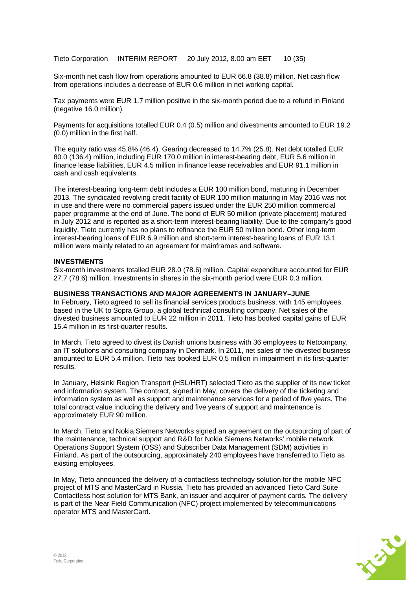Tieto Corporation INTERIM REPORT 20 July 2012, 8.00 am EET 10 (35)

Six-month net cash flow from operations amounted to EUR 66.8 (38.8) million. Net cash flow from operations includes a decrease of EUR 0.6 million in net working capital.

Tax payments were EUR 1.7 million positive in the six-month period due to a refund in Finland (negative 16.0 million).

Payments for acquisitions totalled EUR 0.4 (0.5) million and divestments amounted to EUR 19.2 (0.0) million in the first half.

The equity ratio was 45.8% (46.4). Gearing decreased to 14.7% (25.8). Net debt totalled EUR 80.0 (136.4) million, including EUR 170.0 million in interest-bearing debt, EUR 5.6 million in finance lease liabilities, EUR 4.5 million in finance lease receivables and EUR 91.1 million in cash and cash equivalents.

The interest-bearing long-term debt includes a EUR 100 million bond, maturing in December 2013. The syndicated revolving credit facility of EUR 100 million maturing in May 2016 was not in use and there were no commercial papers issued under the EUR 250 million commercial paper programme at the end of June. The bond of EUR 50 million (private placement) matured in July 2012 and is reported as a short-term interest-bearing liability. Due to the company's good liquidity, Tieto currently has no plans to refinance the EUR 50 million bond. Other long-term interest-bearing loans of EUR 6.9 million and short-term interest-bearing loans of EUR 13.1 million were mainly related to an agreement for mainframes and software.

#### **INVESTMENTS**

Six-month investments totalled EUR 28.0 (78.6) million. Capital expenditure accounted for EUR 27.7 (78.6) million. Investments in shares in the six-month period were EUR 0.3 million.

#### **BUSINESS TRANSACTIONS AND MAJOR AGREEMENTS IN JANUARY–JUNE**

In February, Tieto agreed to sell its financial services products business, with 145 employees, based in the UK to Sopra Group, a global technical consulting company. Net sales of the divested business amounted to EUR 22 million in 2011. Tieto has booked capital gains of EUR 15.4 million in its first-quarter results.

In March, Tieto agreed to divest its Danish unions business with 36 employees to Netcompany, an IT solutions and consulting company in Denmark. In 2011, net sales of the divested business amounted to EUR 5.4 million. Tieto has booked EUR 0.5 million in impairment in its first-quarter results.

In January, Helsinki Region Transport (HSL/HRT) selected Tieto as the supplier of its new ticket and information system. The contract, signed in May, covers the delivery of the ticketing and information system as well as support and maintenance services for a period of five years. The total contract value including the delivery and five years of support and maintenance is approximately EUR 90 million.

In March, Tieto and Nokia Siemens Networks signed an agreement on the outsourcing of part of the maintenance, technical support and R&D for Nokia Siemens Networks' mobile network Operations Support System (OSS) and Subscriber Data Management (SDM) activities in Finland. As part of the outsourcing, approximately 240 employees have transferred to Tieto as existing employees.

In May, Tieto announced the delivery of a contactless technology solution for the mobile NFC project of MTS and MasterCard in Russia. Tieto has provided an advanced Tieto Card Suite Contactless host solution for MTS Bank, an issuer and acquirer of payment cards. The delivery is part of the Near Field Communication (NFC) project implemented by telecommunications operator MTS and MasterCard.

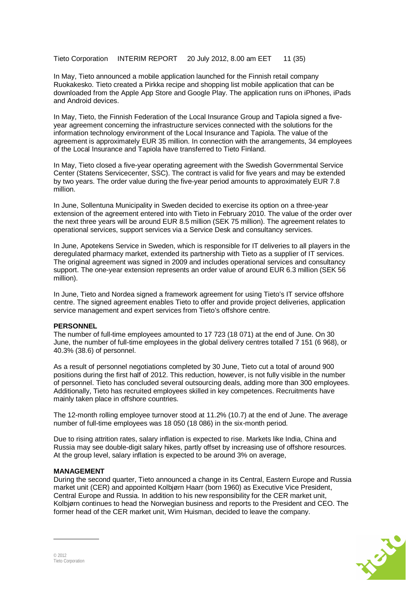Tieto Corporation INTERIM REPORT 20 July 2012, 8.00 am EET 11 (35)

In May, Tieto announced a mobile application launched for the Finnish retail company Ruokakesko. Tieto created a Pirkka recipe and shopping list mobile application that can be downloaded from the Apple App Store and Google Play. The application runs on iPhones, iPads and Android devices.

In May, Tieto, the Finnish Federation of the Local Insurance Group and Tapiola signed a fiveyear agreement concerning the infrastructure services connected with the solutions for the information technology environment of the Local Insurance and Tapiola. The value of the agreement is approximately EUR 35 million. In connection with the arrangements, 34 employees of the Local Insurance and Tapiola have transferred to Tieto Finland.

In May, Tieto closed a five-year operating agreement with the Swedish Governmental Service Center (Statens Servicecenter, SSC). The contract is valid for five years and may be extended by two years. The order value during the five-year period amounts to approximately EUR 7.8 million.

In June, Sollentuna Municipality in Sweden decided to exercise its option on a three-year extension of the agreement entered into with Tieto in February 2010. The value of the order over the next three years will be around EUR 8.5 million (SEK 75 million). The agreement relates to operational services, support services via a Service Desk and consultancy services.

In June, Apotekens Service in Sweden, which is responsible for IT deliveries to all players in the deregulated pharmacy market, extended its partnership with Tieto as a supplier of IT services. The original agreement was signed in 2009 and includes operational services and consultancy support. The one-year extension represents an order value of around EUR 6.3 million (SEK 56 million).

In June, Tieto and Nordea signed a framework agreement for using Tieto's IT service offshore centre. The signed agreement enables Tieto to offer and provide project deliveries, application service management and expert services from Tieto's offshore centre.

#### **PERSONNEL**

The number of full-time employees amounted to 17 723 (18 071) at the end of June. On 30 June, the number of full-time employees in the global delivery centres totalled 7 151 (6 968), or 40.3% (38.6) of personnel.

As a result of personnel negotiations completed by 30 June, Tieto cut a total of around 900 positions during the first half of 2012. This reduction, however, is not fully visible in the number of personnel. Tieto has concluded several outsourcing deals, adding more than 300 employees. Additionally, Tieto has recruited employees skilled in key competences. Recruitments have mainly taken place in offshore countries.

The 12-month rolling employee turnover stood at 11.2% (10.7) at the end of June. The average number of full-time employees was 18 050 (18 086) in the six-month period.

Due to rising attrition rates, salary inflation is expected to rise. Markets like India, China and Russia may see double-digit salary hikes, partly offset by increasing use of offshore resources. At the group level, salary inflation is expected to be around 3% on average,

#### **MANAGEMENT**

During the second quarter, Tieto announced a change in its Central, Eastern Europe and Russia market unit (CER) and appointed Kolbjørn Haarr (born 1960) as Executive Vice President, Central Europe and Russia. In addition to his new responsibility for the CER market unit, Kolbjørn continues to head the Norwegian business and reports to the President and CEO. The former head of the CER market unit, Wim Huisman, decided to leave the company.

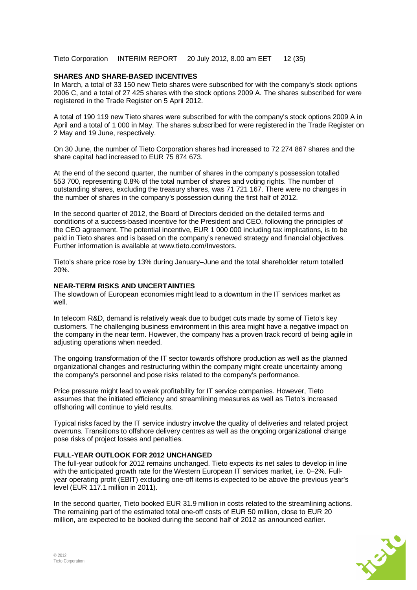Tieto Corporation INTERIM REPORT 20 July 2012, 8.00 am EET 12 (35)

#### **SHARES AND SHARE-BASED INCENTIVES**

In March, a total of 33 150 new Tieto shares were subscribed for with the company's stock options 2006 C, and a total of 27 425 shares with the stock options 2009 A. The shares subscribed for were registered in the Trade Register on 5 April 2012.

A total of 190 119 new Tieto shares were subscribed for with the company's stock options 2009 A in April and a total of 1 000 in May. The shares subscribed for were registered in the Trade Register on 2 May and 19 June, respectively.

On 30 June, the number of Tieto Corporation shares had increased to 72 274 867 shares and the share capital had increased to EUR 75 874 673.

At the end of the second quarter, the number of shares in the company's possession totalled 553 700, representing 0.8% of the total number of shares and voting rights. The number of outstanding shares, excluding the treasury shares, was 71 721 167. There were no changes in the number of shares in the company's possession during the first half of 2012.

In the second quarter of 2012, the Board of Directors decided on the detailed terms and conditions of a success-based incentive for the President and CEO, following the principles of the CEO agreement. The potential incentive, EUR 1 000 000 including tax implications, is to be paid in Tieto shares and is based on the company's renewed strategy and financial objectives. Further information is available at www.tieto.com/Investors.

Tieto's share price rose by 13% during January–June and the total shareholder return totalled 20%.

#### **NEAR-TERM RISKS AND UNCERTAINTIES**

The slowdown of European economies might lead to a downturn in the IT services market as well.

In telecom R&D, demand is relatively weak due to budget cuts made by some of Tieto's key customers. The challenging business environment in this area might have a negative impact on the company in the near term. However, the company has a proven track record of being agile in adjusting operations when needed.

The ongoing transformation of the IT sector towards offshore production as well as the planned organizational changes and restructuring within the company might create uncertainty among the company's personnel and pose risks related to the company's performance.

Price pressure might lead to weak profitability for IT service companies. However, Tieto assumes that the initiated efficiency and streamlining measures as well as Tieto's increased offshoring will continue to yield results.

Typical risks faced by the IT service industry involve the quality of deliveries and related project overruns. Transitions to offshore delivery centres as well as the ongoing organizational change pose risks of project losses and penalties.

#### **FULL-YEAR OUTLOOK FOR 2012 UNCHANGED**

The full-year outlook for 2012 remains unchanged. Tieto expects its net sales to develop in line with the anticipated growth rate for the Western European IT services market, i.e. 0–2%. Fullyear operating profit (EBIT) excluding one-off items is expected to be above the previous year's level (EUR 117.1 million in 2011).

In the second quarter, Tieto booked EUR 31.9 million in costs related to the streamlining actions. The remaining part of the estimated total one-off costs of EUR 50 million, close to EUR 20 million, are expected to be booked during the second half of 2012 as announced earlier.

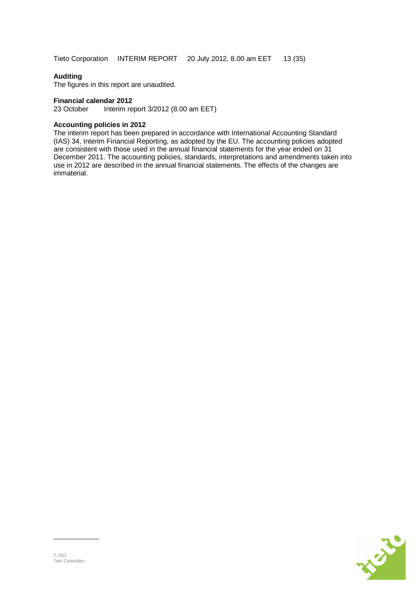### **Auditing**

The figures in this report are unaudited.

#### **Financial calendar 2012**

23 October Interim report 3/2012 (8.00 am EET)

#### **Accounting policies in 2012**

The interim report has been prepared in accordance with International Accounting Standard (IAS) 34, Interim Financial Reporting, as adopted by the EU. The accounting policies adopted are consistent with those used in the annual financial statements for the year ended on 31 December 2011. The accounting policies, standards, interpretations and amendments taken into use in 2012 are described in the annual financial statements. The effects of the changes are immaterial.

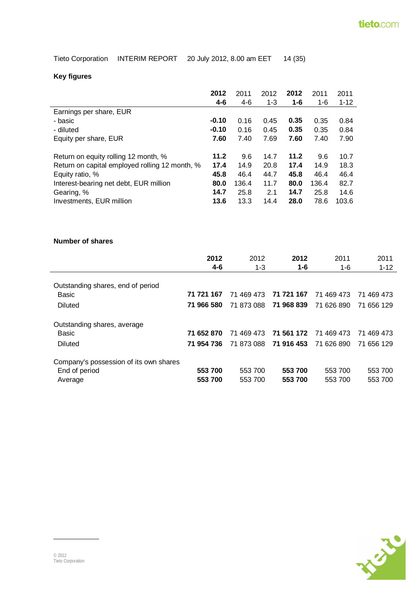| Tieto Corporation INTERIM REPORT | 20 July 2012, 8.00 am EET | 14 (35) |
|----------------------------------|---------------------------|---------|
|----------------------------------|---------------------------|---------|

# **Key figures**

|                                                | 2012    | 2011  | 2012    | 2012 | 2011  | 2011     |
|------------------------------------------------|---------|-------|---------|------|-------|----------|
|                                                | $4-6$   | $4-6$ | $1 - 3$ | 1-6  | 1-6   | $1 - 12$ |
| Earnings per share, EUR                        |         |       |         |      |       |          |
| - basic                                        | $-0.10$ | 0.16  | 0.45    | 0.35 | 0.35  | 0.84     |
| - diluted                                      | $-0.10$ | 0.16  | 0.45    | 0.35 | 0.35  | 0.84     |
| Equity per share, EUR                          | 7.60    | 7.40  | 7.69    | 7.60 | 7.40  | 7.90     |
|                                                |         |       |         |      |       |          |
| Return on equity rolling 12 month, %           | 11.2    | 9.6   | 14.7    | 11.2 | 9.6   | 10.7     |
| Return on capital employed rolling 12 month, % | 17.4    | 14.9  | 20.8    | 17.4 | 14.9  | 18.3     |
| Equity ratio, %                                | 45.8    | 46.4  | 44.7    | 45.8 | 46.4  | 46.4     |
| Interest-bearing net debt, EUR million         | 80.0    | 136.4 | 11.7    | 80.0 | 136.4 | 82.7     |
| Gearing, %                                     | 14.7    | 25.8  | 2.1     | 14.7 | 25.8  | 14.6     |
| Investments, EUR million                       | 13.6    | 13.3  | 14.4    | 28.0 | 78.6  | 103.6    |

### **Number of shares**

|                                        | 2012<br>4-6 | 2012<br>$1 - 3$ | 2012<br>1-6 | 2011<br>1-6 | 2011<br>$1 - 12$ |
|----------------------------------------|-------------|-----------------|-------------|-------------|------------------|
| Outstanding shares, end of period      |             |                 |             |             |                  |
| Basic                                  | 71 721 167  | 71 469 473      | 71 721 167  | 71 469 473  | 71 469 473       |
| Diluted                                | 71 966 580  | 71 873 088      | 71 968 839  | 71 626 890  | 71 656 129       |
| Outstanding shares, average            |             |                 |             |             |                  |
| Basic                                  | 71 652 870  | 71 469 473      | 71 561 172  | 71 469 473  | 71 469 473       |
| Diluted                                | 71 954 736  | 71 873 088      | 71 916 453  | 71 626 890  | 71 656 129       |
| Company's possession of its own shares |             |                 |             |             |                  |
| End of period                          | 553 700     | 553 700         | 553 700     | 553 700     | 553 700          |
| Average                                | 553 700     | 553 700         | 553 700     | 553 700     | 553 700          |

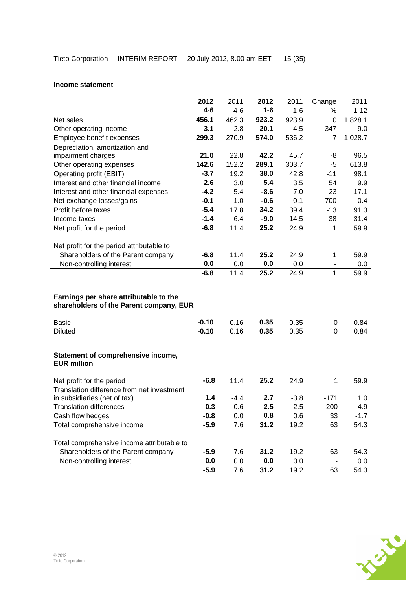#### **Income statement**

|                                                                                   | 2012          | 2011       | 2012        | 2011        | Change         | 2011        |
|-----------------------------------------------------------------------------------|---------------|------------|-------------|-------------|----------------|-------------|
|                                                                                   | $4 - 6$       | $4 - 6$    | $1 - 6$     | $1 - 6$     | %              | $1 - 12$    |
| Net sales                                                                         | 456.1         | 462.3      | 923.2       | 923.9       | $\overline{0}$ | 1828.1      |
| Other operating income                                                            | 3.1           | 2.8        | 20.1        | 4.5         | 347            | 9.0         |
| Employee benefit expenses                                                         | 299.3         | 270.9      | 574.0       | 536.2       | $\overline{7}$ | 1 0 28.7    |
| Depreciation, amortization and                                                    |               |            |             |             |                |             |
| impairment charges                                                                | 21.0          | 22.8       | 42.2        | 45.7        | -8             | 96.5        |
| Other operating expenses                                                          | 142.6         | 152.2      | 289.1       | 303.7       | $-5$           | 613.8       |
| Operating profit (EBIT)                                                           | $-3.7$        | 19.2       | 38.0        | 42.8        | $-11$          | 98.1        |
| Interest and other financial income                                               | 2.6           | 3.0        | 5.4         | 3.5         | 54             | 9.9         |
| Interest and other financial expenses                                             | $-4.2$        | $-5.4$     | $-8.6$      | $-7.0$      | 23             | $-17.1$     |
| Net exchange losses/gains                                                         | $-0.1$        | 1.0        | $-0.6$      | 0.1         | $-700$         | 0.4         |
| Profit before taxes                                                               | $-5.4$        | 17.8       | 34.2        | 39.4        | $-13$          | 91.3        |
| Income taxes                                                                      | $-1.4$        | $-6.4$     | $-9.0$      | $-14.5$     | $-38$          | $-31.4$     |
| Net profit for the period                                                         | $-6.8$        | 11.4       | 25.2        | 24.9        | 1              | 59.9        |
|                                                                                   |               |            |             |             |                |             |
| Net profit for the period attributable to                                         |               |            |             |             |                |             |
| Shareholders of the Parent company                                                | $-6.8$        | 11.4       | 25.2        | 24.9        | 1              | 59.9        |
| Non-controlling interest                                                          | 0.0           | 0.0        | 0.0         | 0.0         |                | 0.0         |
|                                                                                   | $-6.8$        | 11.4       | 25.2        | 24.9        | 1              | 59.9        |
| Earnings per share attributable to the<br>shareholders of the Parent company, EUR |               |            |             |             |                |             |
| <b>Basic</b>                                                                      | $-0.10$       | 0.16       | 0.35        | 0.35        | 0              | 0.84        |
| <b>Diluted</b>                                                                    | $-0.10$       | 0.16       | 0.35        | 0.35        | 0              | 0.84        |
|                                                                                   |               |            |             |             |                |             |
| Statement of comprehensive income,<br><b>EUR million</b>                          |               |            |             |             |                |             |
| Net profit for the period                                                         | $-6.8$        | 11.4       | 25.2        | 24.9        | 1              | 59.9        |
| Translation difference from net investment                                        |               |            |             |             |                |             |
| in subsidiaries (net of tax)                                                      | 1.4           | $-4.4$     | 2.7         | $-3.8$      | $-171$         | 1.0         |
| <b>Translation differences</b>                                                    | 0.3           | 0.6        | 2.5         | $-2.5$      | $-200$         | $-4.9$      |
| Cash flow hedges                                                                  | $-0.8$        | 0.0        | 0.8         | 0.6         | 33             | $-1.7$      |
| Total comprehensive income                                                        | $-5.9$        | 7.6        | 31.2        | 19.2        | 63             | 54.3        |
|                                                                                   |               |            |             |             |                |             |
| Total comprehensive income attributable to                                        |               |            |             |             |                |             |
| Shareholders of the Parent company                                                | $-5.9$<br>0.0 | 7.6        | 31.2        | 19.2        | 63             | 54.3        |
| Non-controlling interest                                                          | $-5.9$        | 0.0<br>7.6 | 0.0<br>31.2 | 0.0<br>19.2 | 63             | 0.0<br>54.3 |
|                                                                                   |               |            |             |             |                |             |

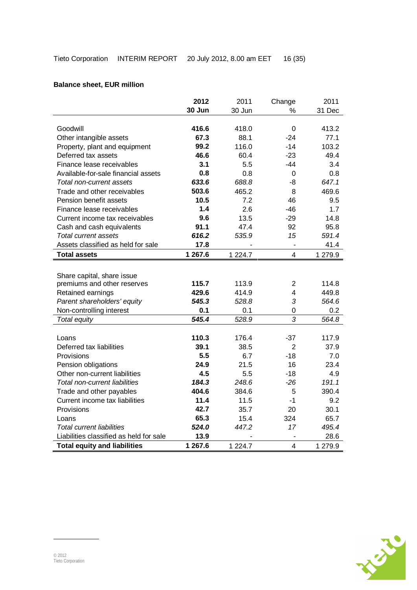# **Balance sheet, EUR million**

|                                         | 2012    | 2011        | Change                   | 2011    |
|-----------------------------------------|---------|-------------|--------------------------|---------|
|                                         | 30 Jun  | 30 Jun      | %                        | 31 Dec  |
|                                         |         |             |                          |         |
| Goodwill                                | 416.6   | 418.0       | $\Omega$                 | 413.2   |
| Other intangible assets                 | 67.3    | 88.1        | $-24$                    | 77.1    |
| Property, plant and equipment           | 99.2    | 116.0       | $-14$                    | 103.2   |
| Deferred tax assets                     | 46.6    | 60.4        | $-23$                    | 49.4    |
| Finance lease receivables               | 3.1     | 5.5         | -44                      | 3.4     |
| Available-for-sale financial assets     | 0.8     | 0.8         | 0                        | 0.8     |
| Total non-current assets                | 633.6   | 688.8       | -8                       | 647.1   |
| Trade and other receivables             | 503.6   | 465.2       | 8                        | 469.6   |
| Pension benefit assets                  | 10.5    | 7.2         | 46                       | 9.5     |
| Finance lease receivables               | 1.4     | 2.6         | $-46$                    | 1.7     |
| Current income tax receivables          | 9.6     | 13.5        | $-29$                    | 14.8    |
| Cash and cash equivalents               | 91.1    | 47.4        | 92                       | 95.8    |
| <b>Total current assets</b>             | 616.2   | 535.9       | 15                       | 591.4   |
| Assets classified as held for sale      | 17.8    |             | $\overline{\phantom{m}}$ | 41.4    |
| <b>Total assets</b>                     | 1 267.6 | 1 2 2 4 . 7 | 4                        | 1 279.9 |
|                                         |         |             |                          |         |
| Share capital, share issue              |         |             |                          |         |
| premiums and other reserves             | 115.7   | 113.9       | $\overline{2}$           | 114.8   |
| Retained earnings                       | 429.6   | 414.9       | 4                        | 449.8   |
| Parent shareholders' equity             | 545.3   | 528.8       | 3                        | 564.6   |
| Non-controlling interest                | 0.1     | 0.1         | 0                        | 0.2     |
| Total equity                            | 545.4   | 528.9       | 3                        | 564.8   |
|                                         |         |             |                          |         |
| Loans                                   | 110.3   | 176.4       | $-37$                    | 117.9   |
| Deferred tax liabilities                | 39.1    | 38.5        | $\overline{2}$           | 37.9    |
| Provisions                              | 5.5     | 6.7         | $-18$                    | 7.0     |
| Pension obligations                     | 24.9    | 21.5        | 16                       | 23.4    |
| Other non-current liabilities           | 4.5     | 5.5         | $-18$                    | 4.9     |
| <b>Total non-current liabilities</b>    | 184.3   | 248.6       | $-26$                    | 191.1   |
| Trade and other payables                | 404.6   | 384.6       | 5                        | 390.4   |
| Current income tax liabilities          | 11.4    | 11.5        | $-1$                     | 9.2     |
| Provisions                              | 42.7    | 35.7        | 20                       | 30.1    |
| Loans                                   | 65.3    | 15.4        | 324                      | 65.7    |
| <b>Total current liabilities</b>        | 524.0   | 447.2       | 17                       | 495.4   |
| Liabilities classified as held for sale | 13.9    |             |                          | 28.6    |
| <b>Total equity and liabilities</b>     | 1 267.6 | 1 2 2 4 . 7 | 4                        | 1 279.9 |

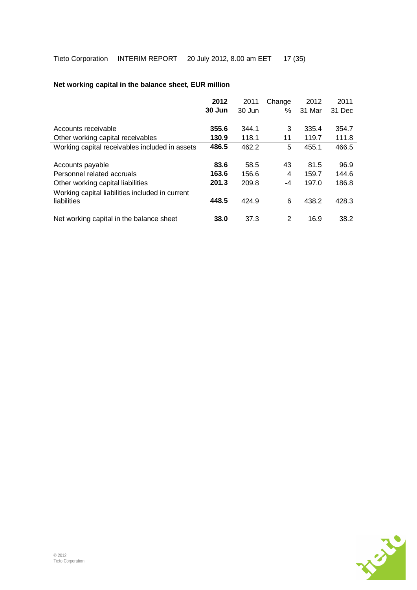|                                                                | 2012   | 2011   | Change | 2012   | 2011   |
|----------------------------------------------------------------|--------|--------|--------|--------|--------|
|                                                                | 30 Jun | 30 Jun | ℅      | 31 Mar | 31 Dec |
|                                                                |        |        |        |        |        |
| Accounts receivable                                            | 355.6  | 344.1  | 3      | 335.4  | 354.7  |
| Other working capital receivables                              | 130.9  | 118.1  | 11     | 119.7  | 111.8  |
| Working capital receivables included in assets                 | 486.5  | 462.2  | 5      | 455.1  | 466.5  |
|                                                                |        |        |        |        |        |
| Accounts payable                                               | 83.6   | 58.5   | 43     | 81.5   | 96.9   |
| Personnel related accruals                                     | 163.6  | 156.6  | 4      | 159.7  | 144.6  |
| Other working capital liabilities                              | 201.3  | 209.8  | -4     | 197.0  | 186.8  |
| Working capital liabilities included in current<br>liabilities | 448.5  | 424.9  | 6      | 438.2  | 428.3  |
| Net working capital in the balance sheet                       | 38.0   | 37.3   | 2      | 16.9   | 38.2   |

# **Net working capital in the balance sheet, EUR million**

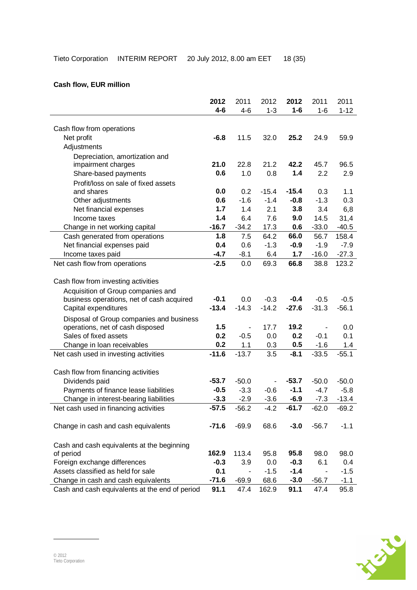|                                                | 2012    | 2011    | 2012    | 2012    | 2011    | 2011     |
|------------------------------------------------|---------|---------|---------|---------|---------|----------|
|                                                | $4 - 6$ | $4 - 6$ | $1 - 3$ | $1 - 6$ | $1 - 6$ | $1 - 12$ |
|                                                |         |         |         |         |         |          |
| Cash flow from operations                      |         |         |         |         |         |          |
| Net profit                                     | $-6.8$  | 11.5    | 32.0    | 25.2    | 24.9    | 59.9     |
| Adjustments                                    |         |         |         |         |         |          |
| Depreciation, amortization and                 |         |         |         |         |         |          |
| impairment charges                             | 21.0    | 22.8    | 21.2    | 42.2    | 45.7    | 96.5     |
| Share-based payments                           | 0.6     | 1.0     | 0.8     | 1.4     | 2.2     | 2.9      |
| Profit/loss on sale of fixed assets            |         |         |         |         |         |          |
| and shares                                     | 0.0     | 0.2     | $-15.4$ | $-15.4$ | 0.3     | 1.1      |
| Other adjustments                              | 0.6     | $-1.6$  | $-1.4$  | $-0.8$  | $-1.3$  | 0.3      |
| Net financial expenses                         | 1.7     | 1.4     | 2.1     | 3.8     | 3.4     | 6,8      |
| Income taxes                                   | 1.4     | 6.4     | 7.6     | 9.0     | 14.5    | 31,4     |
| Change in net working capital                  | $-16.7$ | $-34.2$ | 17.3    | 0.6     | $-33.0$ | $-40.5$  |
| Cash generated from operations                 | 1.8     | 7.5     | 64.2    | 66.0    | 56.7    | 158.4    |
| Net financial expenses paid                    | 0.4     | 0.6     | $-1.3$  | $-0.9$  | $-1.9$  | $-7.9$   |
| Income taxes paid                              | $-4.7$  | $-8.1$  | 6.4     | 1.7     | $-16.0$ | $-27.3$  |
| Net cash flow from operations                  | $-2.5$  | 0.0     | 69.3    | 66.8    | 38.8    | 123.2    |
|                                                |         |         |         |         |         |          |
| Cash flow from investing activities            |         |         |         |         |         |          |
| Acquisition of Group companies and             |         |         |         |         |         |          |
| business operations, net of cash acquired      | $-0.1$  | 0.0     | $-0.3$  | $-0.4$  | $-0.5$  | $-0.5$   |
| Capital expenditures                           | $-13.4$ | $-14.3$ | $-14.2$ | $-27.6$ | $-31.3$ | $-56.1$  |
| Disposal of Group companies and business       |         |         |         |         |         |          |
| operations, net of cash disposed               | 1.5     |         | 17.7    | 19.2    |         | 0.0      |
| Sales of fixed assets                          | 0.2     | $-0.5$  | 0.0     | 0.2     | $-0.1$  | 0.1      |
| Change in loan receivables                     | 0.2     | 1.1     | 0.3     | 0.5     | $-1.6$  | 1.4      |
| Net cash used in investing activities          | $-11.6$ | $-13.7$ | 3.5     | $-8.1$  | $-33.5$ | $-55.1$  |
|                                                |         |         |         |         |         |          |
| Cash flow from financing activities            |         |         |         |         |         |          |
| Dividends paid                                 | $-53.7$ | $-50.0$ |         | $-53.7$ | $-50.0$ | $-50.0$  |
| Payments of finance lease liabilities          | $-0.5$  | $-3.3$  | $-0.6$  | $-1.1$  | $-4.7$  | $-5.8$   |
| Change in interest-bearing liabilities         | $-3.3$  | $-2.9$  | $-3.6$  | $-6.9$  | $-7.3$  | $-13.4$  |
| Net cash used in financing activities          | $-57.5$ | $-56.2$ | $-4.2$  | $-61.7$ | $-62.0$ | $-69.2$  |
|                                                |         |         |         |         |         |          |
| Change in cash and cash equivalents            | $-71.6$ | $-69.9$ | 68.6    | $-3.0$  | $-56.7$ | $-1.1$   |
|                                                |         |         |         |         |         |          |
| Cash and cash equivalents at the beginning     |         |         |         |         |         |          |
| of period                                      | 162.9   | 113.4   | 95.8    | 95.8    | 98.0    | 98.0     |
| Foreign exchange differences                   | $-0.3$  | 3.9     | 0.0     | $-0.3$  | 6.1     | 0.4      |
| Assets classified as held for sale             | 0.1     |         | $-1.5$  | $-1.4$  |         | $-1.5$   |
| Change in cash and cash equivalents            | $-71.6$ | $-69.9$ | 68.6    | $-3.0$  | $-56.7$ | $-1.1$   |
| Cash and cash equivalents at the end of period | 91.1    | 47.4    | 162.9   | 91.1    | 47.4    | 95.8     |

# **Cash flow, EUR million**

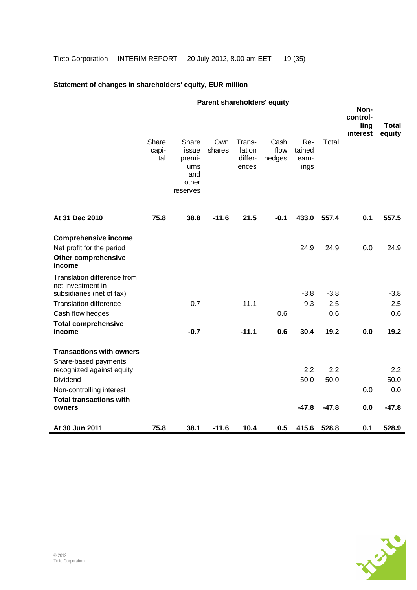# **Statement of changes in shareholders' equity, EUR million**

| Parent shareholders' equity                                                                      |                       |                                                             |               |                                      |                        |                                |         |                  |                        |
|--------------------------------------------------------------------------------------------------|-----------------------|-------------------------------------------------------------|---------------|--------------------------------------|------------------------|--------------------------------|---------|------------------|------------------------|
|                                                                                                  |                       |                                                             |               |                                      |                        |                                |         | Non-<br>control- |                        |
|                                                                                                  |                       |                                                             |               |                                      |                        |                                |         | ling<br>interest | <b>Total</b><br>equity |
|                                                                                                  | Share<br>capi-<br>tal | Share<br>issue<br>premi-<br>ums<br>and<br>other<br>reserves | Own<br>shares | Trans-<br>lation<br>differ-<br>ences | Cash<br>flow<br>hedges | Re-<br>tained<br>earn-<br>ings | Total   |                  |                        |
| At 31 Dec 2010                                                                                   | 75.8                  | 38.8                                                        | $-11.6$       | 21.5                                 | $-0.1$                 | 433.0                          | 557.4   | 0.1              | 557.5                  |
| <b>Comprehensive income</b><br>Net profit for the period<br><b>Other comprehensive</b><br>income |                       |                                                             |               |                                      |                        | 24.9                           | 24.9    | 0.0              | 24.9                   |
| Translation difference from<br>net investment in<br>subsidiaries (net of tax)                    |                       |                                                             |               |                                      |                        | $-3.8$                         | $-3.8$  |                  | $-3.8$                 |
| <b>Translation difference</b>                                                                    |                       | $-0.7$                                                      |               | $-11.1$                              |                        | 9.3                            | $-2.5$  |                  | $-2.5$                 |
| Cash flow hedges                                                                                 |                       |                                                             |               |                                      | 0.6                    |                                | 0.6     |                  | 0.6                    |
| <b>Total comprehensive</b><br>income                                                             |                       | $-0.7$                                                      |               | $-11.1$                              | 0.6                    | 30.4                           | 19.2    | 0.0              | 19.2                   |
| <b>Transactions with owners</b>                                                                  |                       |                                                             |               |                                      |                        |                                |         |                  |                        |
| Share-based payments<br>recognized against equity                                                |                       |                                                             |               |                                      |                        | 2.2                            | 2.2     |                  | 2.2                    |
| <b>Dividend</b>                                                                                  |                       |                                                             |               |                                      |                        | $-50.0$                        | $-50.0$ |                  | $-50.0$                |
| Non-controlling interest                                                                         |                       |                                                             |               |                                      |                        |                                |         | 0.0              | 0.0                    |
| <b>Total transactions with</b><br>owners                                                         |                       |                                                             |               |                                      |                        | $-47.8$                        | $-47.8$ | 0.0              | $-47.8$                |
| At 30 Jun 2011                                                                                   | 75.8                  | 38.1                                                        | $-11.6$       | 10.4                                 | 0.5                    | 415.6                          | 528.8   | 0.1              | 528.9                  |

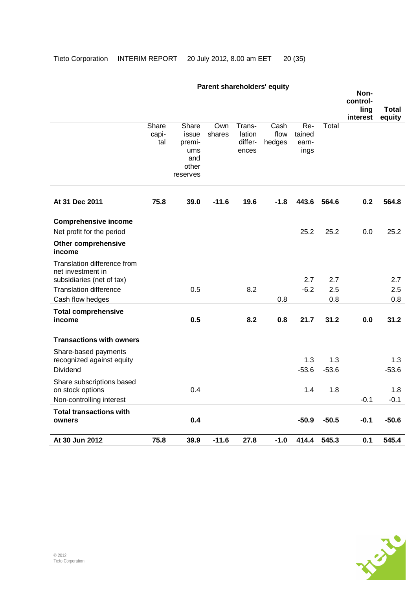# **Parent shareholders' equity**

|                                                |       |                   |         |                  |        |                |                | Non-<br>control- |                |
|------------------------------------------------|-------|-------------------|---------|------------------|--------|----------------|----------------|------------------|----------------|
|                                                |       |                   |         |                  |        |                |                | ling             | Total          |
|                                                | Share | Share             | Own     | Trans-           | Cash   | Re-            | Total          | interest         | equity         |
|                                                | capi- | issue             | shares  | lation           | flow   | tained         |                |                  |                |
|                                                | tal   | premi-<br>ums     |         | differ-<br>ences | hedges | earn-<br>ings  |                |                  |                |
|                                                |       | and               |         |                  |        |                |                |                  |                |
|                                                |       | other<br>reserves |         |                  |        |                |                |                  |                |
|                                                |       |                   |         |                  |        |                |                |                  |                |
| At 31 Dec 2011                                 | 75.8  | 39.0              | $-11.6$ | 19.6             | $-1.8$ | 443.6          | 564.6          | 0.2              | 564.8          |
| <b>Comprehensive income</b>                    |       |                   |         |                  |        |                |                |                  |                |
| Net profit for the period                      |       |                   |         |                  |        | 25.2           | 25.2           | 0.0              | 25.2           |
| <b>Other comprehensive</b><br>income           |       |                   |         |                  |        |                |                |                  |                |
| Translation difference from                    |       |                   |         |                  |        |                |                |                  |                |
| net investment in<br>subsidiaries (net of tax) |       |                   |         |                  |        | 2.7            | 2.7            |                  | 2.7            |
| <b>Translation difference</b>                  |       | 0.5               |         | 8.2              |        | $-6.2$         | 2.5            |                  | 2.5            |
| Cash flow hedges                               |       |                   |         |                  | 0.8    |                | 0.8            |                  | 0.8            |
| <b>Total comprehensive</b><br>income           |       | 0.5               |         | 8.2              | 0.8    | 21.7           | 31.2           | 0.0              | 31.2           |
|                                                |       |                   |         |                  |        |                |                |                  |                |
| <b>Transactions with owners</b>                |       |                   |         |                  |        |                |                |                  |                |
| Share-based payments                           |       |                   |         |                  |        |                |                |                  |                |
| recognized against equity<br>Dividend          |       |                   |         |                  |        | 1.3<br>$-53.6$ | 1.3<br>$-53.6$ |                  | 1.3<br>$-53.6$ |
| Share subscriptions based                      |       |                   |         |                  |        |                |                |                  |                |
| on stock options                               |       | 0.4               |         |                  |        | 1.4            | 1.8            |                  | 1.8            |
| Non-controlling interest                       |       |                   |         |                  |        |                |                | $-0.1$           | $-0.1$         |
| <b>Total transactions with</b>                 |       |                   |         |                  |        |                |                |                  |                |
| owners                                         |       | 0.4               |         |                  |        | $-50.9$        | $-50.5$        | $-0.1$           | $-50.6$        |
| At 30 Jun 2012                                 | 75.8  | 39.9              | $-11.6$ | 27.8             | $-1.0$ | 414.4          | 545.3          | 0.1              | 545.4          |

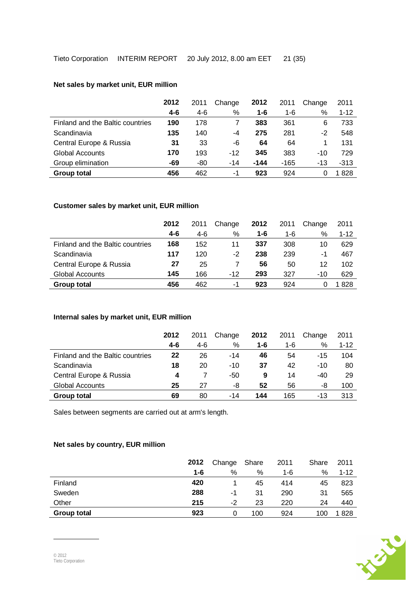### **Net sales by market unit, EUR million**

|                                  | 2012    | 2011 | Change | 2012   | 2011   | Change | 2011     |
|----------------------------------|---------|------|--------|--------|--------|--------|----------|
|                                  | $4 - 6$ | 4-6  | %      | 1-6    | 1-6    | %      | $1 - 12$ |
| Finland and the Baltic countries | 190     | 178  |        | 383    | 361    | 6      | 733      |
| Scandinavia                      | 135     | 140  | -4     | 275    | 281    | -2     | 548      |
| Central Europe & Russia          | 31      | 33   | -6     | 64     | 64     |        | 131      |
| <b>Global Accounts</b>           | 170     | 193  | $-12$  | 345    | 383    | $-10$  | 729      |
| Group elimination                | -69     | -80  | $-14$  | $-144$ | $-165$ | -13    | $-313$   |
| <b>Group total</b>               | 456     | 462  | -1     | 923    | 924    |        | 1 828    |

# **Customer sales by market unit, EUR million**

|                                  | 2012<br>2011 |     | Change | 2012 | 2011 | Change | 2011     |
|----------------------------------|--------------|-----|--------|------|------|--------|----------|
|                                  | $4 - 6$      | 4-6 | %      | 1-6  | 1-6  | %      | $1 - 12$ |
| Finland and the Baltic countries | 168          | 152 | 11     | 337  | 308  | 10     | 629      |
| Scandinavia                      | 117          | 120 | $-2$   | 238  | 239  | -1     | 467      |
| Central Europe & Russia          | 27           | 25  |        | 56   | 50   | 12     | 102      |
| <b>Global Accounts</b>           | 145          | 166 | $-12$  | 293  | 327  | $-10$  | 629      |
| Group total                      | 456          | 462 | -1     | 923  | 924  |        | l 828    |

### **Internal sales by market unit, EUR million**

|                                  | 2012 | 2011  | Change | 2012    | 2011 | Change | 2011     |
|----------------------------------|------|-------|--------|---------|------|--------|----------|
|                                  | 4-6  | $4-6$ | %      | $1 - 6$ | 1-6  | %      | $1 - 12$ |
| Finland and the Baltic countries | 22   | 26    | $-14$  | 46      | 54   | $-15$  | 104      |
| Scandinavia                      | 18   | 20    | $-10$  | 37      | 42   | $-10$  | 80       |
| Central Europe & Russia          | 4    |       | -50    | 9       | 14   | -40    | 29       |
| <b>Global Accounts</b>           | 25   | 27    | -8     | 52      | 56   | -8     | 100      |
| Group total                      | 69   | 80    | -14    | 144     | 165  | $-13$  | 313      |

Sales between segments are carried out at arm's length.

## **Net sales by country, EUR million**

|                    | 2012 | Change | Share | 2011 | Share | 2011     |
|--------------------|------|--------|-------|------|-------|----------|
|                    | 1-6  | %      | %     | 1-6  | %     | $1 - 12$ |
| Finland            | 420  |        | 45    | 414  | 45    | 823      |
| Sweden             | 288  | -1     | 31    | 290  | 31    | 565      |
| Other              | 215  | -2     | 23    | 220  | 24    | 440      |
| <b>Group total</b> | 923  | 0      | 100   | 924  | 100   | 1828     |

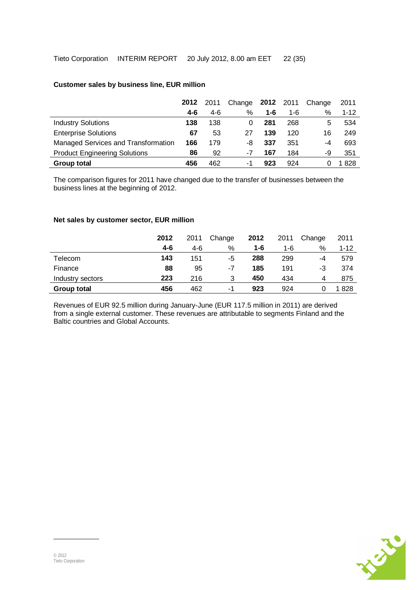|                                      | 2012 | 2011  | Change | 2012 2011 |     | Change | 2011  |
|--------------------------------------|------|-------|--------|-----------|-----|--------|-------|
|                                      | 4-6  | $4-6$ | %      | 1-6       | 1-6 | %      | 1-12  |
| <b>Industry Solutions</b>            | 138  | 138   | 0      | 281       | 268 | 5      | 534   |
| <b>Enterprise Solutions</b>          | 67   | 53    | 27     | 139       | 120 | 16     | 249   |
| Managed Services and Transformation  | 166  | 179   | -8     | 337       | 351 | -4     | 693   |
| <b>Product Engineering Solutions</b> | 86   | 92    | -7     | 167       | 184 | -9     | 351   |
| Group total                          | 456  | 462   | -1     | 923       | 924 |        | l 828 |

# **Customer sales by business line, EUR million**

The comparison figures for 2011 have changed due to the transfer of businesses between the business lines at the beginning of 2012.

#### **Net sales by customer sector, EUR million**

|                    | 2012    | 2011 | Change | 2012 | 2011 | Change | 2011     |
|--------------------|---------|------|--------|------|------|--------|----------|
|                    | $4 - 6$ | 4-6  | %      | 1-6  | 1-6  | %      | $1 - 12$ |
| Telecom            | 143     | 151  | -5     | 288  | 299  | -4     | 579      |
| Finance            | 88      | 95   | -7     | 185  | 191  | -3     | 374      |
| Industry sectors   | 223     | 216  | 3      | 450  | 434  | 4      | 875      |
| <b>Group total</b> | 456     | 462  | -1     | 923  | 924  |        | 1828     |

Revenues of EUR 92.5 million during January-June (EUR 117.5 million in 2011) are derived from a single external customer. These revenues are attributable to segments Finland and the Baltic countries and Global Accounts.

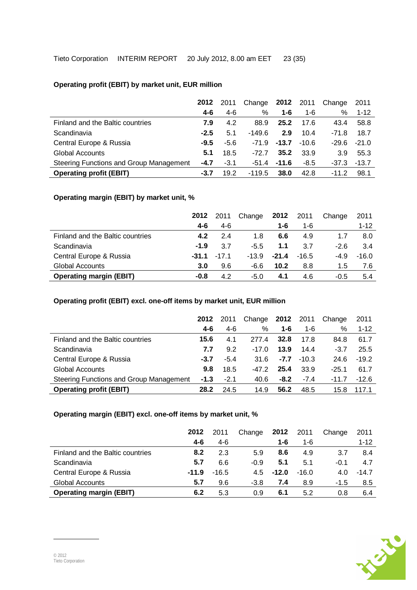# **Operating profit (EBIT) by market unit, EUR million**

|                                         | 2012   | 2011   | Change 2012 |                 | 2011    | Change  | 2011     |
|-----------------------------------------|--------|--------|-------------|-----------------|---------|---------|----------|
|                                         | 4-6    | $4-6$  | %           | 1-6             | $1 - 6$ | %       | $1 - 12$ |
| Finland and the Baltic countries        | 7.9    | 4.2    | 88.9        | 25.2            | 17.6    | 43.4    | 58.8     |
| Scandinavia                             | $-2.5$ | 5.1    | $-149.6$    | 2.9             | 10.4    | $-71.8$ | 18.7     |
| Central Europe & Russia                 | $-9.5$ | $-5.6$ | $-71.9$     | $-13.7$         | $-10.6$ | $-29.6$ | $-21.0$  |
| <b>Global Accounts</b>                  | 5.1    | 18.5   | $-72.7$     | 35.2            | 33.9    | 3.9     | 55.3     |
| Steering Functions and Group Management | $-4.7$ | $-3.1$ |             | $-51.4$ $-11.6$ | $-8.5$  | $-37.3$ | $-13.7$  |
| <b>Operating profit (EBIT)</b>          | -3.7   | 19.2   | $-119.5$    | 38.0            | 42.8    | $-11.2$ | 98.1     |

# **Operating margin (EBIT) by market unit, %**

|                                  | 2012    | 2011    | Change  | 2012    | 2011    | Change | 2011     |
|----------------------------------|---------|---------|---------|---------|---------|--------|----------|
|                                  | 4-6     | 4-6     |         | 1-6     | 1-6     |        | $1 - 12$ |
| Finland and the Baltic countries | 4.2     | 24      | 1.8     | 6.6     | 4.9     | 1.7    | 8.0      |
| Scandinavia                      | $-1.9$  | 3.7     | $-5.5$  | 1.1     | 3.7     | $-2.6$ | 3.4      |
| Central Europe & Russia          | $-31.1$ | $-17.1$ | $-13.9$ | $-21.4$ | $-16.5$ | $-4.9$ | $-16.0$  |
| Global Accounts                  | 3.0     | 9.6     | -6.6    | 10.2    | 8.8     | 1.5    | 7.6      |
| <b>Operating margin (EBIT)</b>   | -0.8    | 4.2     | $-5.0$  | 4.1     | 4.6     | $-0.5$ | 5.4      |

### **Operating profit (EBIT) excl. one-off items by market unit, EUR million**

|                                         | 2012    | 2011   | Change  | 2012   | 2011    | Change  | 2011     |
|-----------------------------------------|---------|--------|---------|--------|---------|---------|----------|
|                                         | $4 - 6$ | $4-6$  | %       | 1-6    | 1-6     | ℅       | $1 - 12$ |
| Finland and the Baltic countries        | 15.6    | 4.1    | 277.4   | 32.8   | 17.8    | 84.8    | 61.7     |
| Scandinavia                             | 7.7     | 9.2    | $-17.0$ | 13.9   | 14.4    | $-3.7$  | 25.5     |
| Central Europe & Russia                 | $-3.7$  | $-5.4$ | 31.6    | $-7.7$ | $-10.3$ | 24.6    | $-19.2$  |
| <b>Global Accounts</b>                  | 9.8     | 18.5   | -47.2   | 25.4   | 33.9    | $-25.1$ | 61.7     |
| Steering Functions and Group Management | $-1.3$  | $-2.1$ | 40.6    | $-8.2$ | $-7.4$  | $-11.7$ | $-12.6$  |
| <b>Operating profit (EBIT)</b>          | 28.2    | 24.5   | 14.9    | 56.2   | 48.5    | 15.8    | 117.1    |

## **Operating margin (EBIT) excl. one-off items by market unit, %**

|                                  | 2012    | 2011    | Change | 2012    | 2011    | Change | 2011     |
|----------------------------------|---------|---------|--------|---------|---------|--------|----------|
|                                  | $4 - 6$ | 4-6     |        | 1-6     | $1 - 6$ |        | $1 - 12$ |
| Finland and the Baltic countries | 8.2     | 2.3     | 5.9    | 8.6     | 4.9     | 3.7    | 8.4      |
| Scandinavia                      | 5.7     | 6.6     | $-0.9$ | 5.1     | 5.1     | $-0.1$ | 4.7      |
| Central Europe & Russia          | $-11.9$ | $-16.5$ | 4.5    | $-12.0$ | $-16.0$ | 4.0    | $-14.7$  |
| <b>Global Accounts</b>           | 5.7     | 9.6     | $-3.8$ | 7.4     | 8.9     | $-1.5$ | 8.5      |
| <b>Operating margin (EBIT)</b>   | 6.2     | 5.3     | 0.9    | 6.1     | 5.2     | 0.8    | 6.4      |

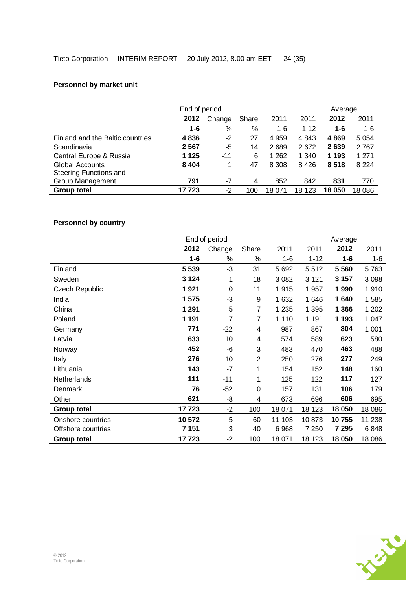# **Personnel by market unit**

|                                  | Average |                 |     |         |              |         |         |
|----------------------------------|---------|-----------------|-----|---------|--------------|---------|---------|
|                                  | 2012    | Change<br>Share |     | 2011    | 2012<br>2011 |         | 2011    |
|                                  | $1 - 6$ | $\%$            | %   | 1-6     | $1 - 12$     | $1 - 6$ | 1-6     |
| Finland and the Baltic countries | 4836    | $-2$            | 27  | 4 9 5 9 | 4 8 4 3      | 4869    | 5 0 5 4 |
| Scandinavia                      | 2567    | -5              | 14  | 2689    | 2672         | 2639    | 2767    |
| Central Europe & Russia          | 1 1 2 5 | -11             | 6   | 1 2 6 2 | 1 340        | 1 193   | 1 271   |
| <b>Global Accounts</b>           | 8 4 0 4 |                 | 47  | 8 3 0 8 | 8 4 2 6      | 8518    | 8 2 2 4 |
| Steering Functions and           |         |                 |     |         |              |         |         |
| Group Management                 | 791     | -7              | 4   | 852     | 842          | 831     | 770     |
| <b>Group total</b>               | 17 723  | -2              | 100 | 18 071  | 18<br>123    | 18 050  | 18 0 86 |

# **Personnel by country**

|                    |         | End of period |                |         |          | Average |         |
|--------------------|---------|---------------|----------------|---------|----------|---------|---------|
|                    | 2012    | Change        | Share          | 2011    | 2011     | 2012    | 2011    |
|                    | $1 - 6$ | %             | %              | 1-6     | $1 - 12$ | $1 - 6$ | $1 - 6$ |
| Finland            | 5 5 3 9 | $-3$          | 31             | 5 6 9 2 | 5512     | 5 5 6 0 | 5763    |
| Sweden             | 3 1 2 4 | 1             | 18             | 3 0 8 2 | 3 1 2 1  | 3 1 5 7 | 3 0 9 8 |
| Czech Republic     | 1921    | $\mathbf 0$   | 11             | 1915    | 1 9 5 7  | 1990    | 1910    |
| India              | 1 575   | $-3$          | 9              | 1 632   | 1646     | 1640    | 1585    |
| China              | 1 2 9 1 | 5             | 7              | 1 2 3 5 | 1 3 9 5  | 1 3 6 6 | 1 202   |
| Poland             | 1 1 9 1 | 7             | 7              | 1 1 1 0 | 1 1 9 1  | 1 1 9 3 | 1 0 4 7 |
| Germany            | 771     | $-22$         | 4              | 987     | 867      | 804     | 1 0 0 1 |
| Latvia             | 633     | 10            | 4              | 574     | 589      | 623     | 580     |
| Norway             | 452     | -6            | 3              | 483     | 470      | 463     | 488     |
| Italy              | 276     | 10            | $\overline{2}$ | 250     | 276      | 277     | 249     |
| Lithuania          | 143     | $-7$          | 1              | 154     | 152      | 148     | 160     |
| Netherlands        | 111     | $-11$         | 1              | 125     | 122      | 117     | 127     |
| Denmark            | 76      | $-52$         | 0              | 157     | 131      | 106     | 179     |
| Other              | 621     | -8            | 4              | 673     | 696      | 606     | 695     |
| <b>Group total</b> | 17723   | $-2$          | 100            | 18 071  | 18 123   | 18 050  | 18 0 86 |
| Onshore countries  | 10 572  | $-5$          | 60             | 11 103  | 10873    | 10755   | 11 238  |
| Offshore countries | 7 151   | 3             | 40             | 6968    | 7 2 5 0  | 7 2 9 5 | 6848    |
| <b>Group total</b> | 17723   | $-2$          | 100            | 18 071  | 18 123   | 18 050  | 18 0 86 |

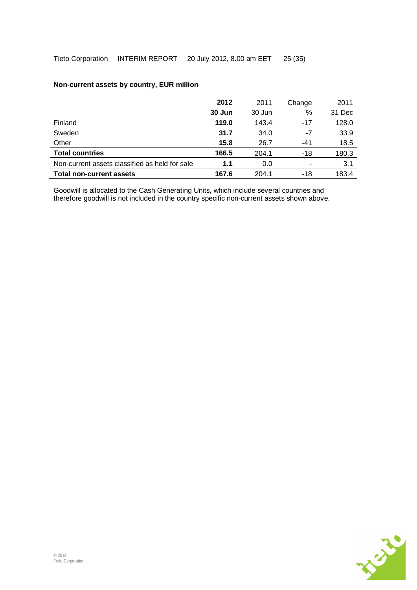## **Non-current assets by country, EUR million**

|                                                | 2012   | 2011   | Change | 2011   |
|------------------------------------------------|--------|--------|--------|--------|
|                                                | 30 Jun | 30 Jun | %      | 31 Dec |
| Finland                                        | 119.0  | 143.4  | $-17$  | 128.0  |
| Sweden                                         | 31.7   | 34.0   | -7     | 33.9   |
| Other                                          | 15.8   | 26.7   | $-41$  | 18.5   |
| <b>Total countries</b>                         | 166.5  | 204.1  | $-18$  | 180.3  |
| Non-current assets classified as held for sale | 1.1    | 0.0    | ٠      | 3.1    |
| <b>Total non-current assets</b>                | 167.6  | 204.1  | $-18$  | 183.4  |

Goodwill is allocated to the Cash Generating Units, which include several countries and therefore goodwill is not included in the country specific non-current assets shown above.

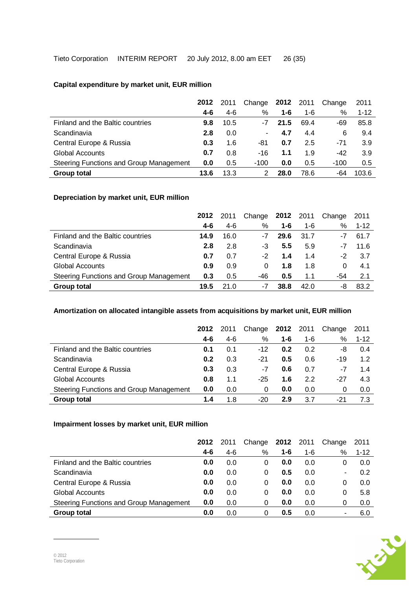## **Capital expenditure by market unit, EUR million**

|                                         | 2012 | 2011  | Change | 2012 | 2011 | Change | 2011     |
|-----------------------------------------|------|-------|--------|------|------|--------|----------|
|                                         | 4-6  | $4-6$ | %      | 1-6  | 1-6  | %      | $1 - 12$ |
| Finland and the Baltic countries        | 9.8  | 10.5  | -7     | 21.5 | 69.4 | -69    | 85.8     |
| Scandinavia                             | 2.8  | 0.0   | ۰      | 4.7  | 4.4  | 6      | 9.4      |
| Central Europe & Russia                 | 0.3  | 1.6   | -81    | 0.7  | 2.5  | -71    | 3.9      |
| <b>Global Accounts</b>                  | 0.7  | 0.8   | $-16$  | 1.1  | 1.9  | -42    | 3.9      |
| Steering Functions and Group Management | 0.0  | 0.5   | $-100$ | 0.0  | 0.5  | $-100$ | 0.5      |
| <b>Group total</b>                      | 13.6 | 13.3  |        | 28.0 | 78.6 | -64    | 103.6    |

## **Depreciation by market unit, EUR million**

|                                         | 2012    | 2011  | Change | 2012 2011 |         | Change | 2011     |
|-----------------------------------------|---------|-------|--------|-----------|---------|--------|----------|
|                                         | $4 - 6$ | $4-6$ | %      | $1 - 6$   | $1 - 6$ | %      | $1 - 12$ |
| Finland and the Baltic countries        | 14.9    | 16.0  | -7     | 29.6      | 31.7    | -7     | 61.7     |
| Scandinavia                             | 2.8     | 2.8   | -3     | 5.5       | 5.9     | -7     | 11.6     |
| Central Europe & Russia                 | 0.7     | 0.7   | -2     | 1.4       | 1.4     | -2     | -3.7     |
| <b>Global Accounts</b>                  | 0.9     | 0.9   | 0      | 1.8       | 1.8     | 0      | 4.1      |
| Steering Functions and Group Management | 0.3     | 0.5   | -46    | 0.5       | 1.1     | -54    | 2.1      |
| <b>Group total</b>                      | 19.5    | 21 O  | -7     | 38.8      | 42.0    | -8     | 83.2     |

### **Amortization on allocated intangible assets from acquisitions by market unit, EUR million**

|                                         | 2012    | 2011  | Change | 2012    | 2011    | Change | 2011     |
|-----------------------------------------|---------|-------|--------|---------|---------|--------|----------|
|                                         | $4 - 6$ | $4-6$ | %      | $1 - 6$ | $1 - 6$ | %      | $1 - 12$ |
| Finland and the Baltic countries        | 0.1     | 0.1   | $-12$  | 0.2     | 0.2     | -8     | 0.4      |
| Scandinavia                             | 0.2     | 0.3   | -21    | 0.5     | 0.6     | $-19$  | 1.2      |
| Central Europe & Russia                 | 0.3     | 0.3   | -7     | 0.6     | 0.7     | -7     | 1.4      |
| <b>Global Accounts</b>                  | 0.8     | 1.1   | $-25$  | 1.6     | 2.2     | -27    | 4.3      |
| Steering Functions and Group Management | 0.0     | 0.0   | 0      | 0.0     | 0.0     | 0      | 0.0      |
| Group total                             | 1.4     | 1.8   | $-20$  | 2.9     | 3.7     | -21    | 7.3      |

# **Impairment losses by market unit, EUR million**

|                                         | 2012    | 2011  | Change | 2012    | 2011 | Change | 2011     |
|-----------------------------------------|---------|-------|--------|---------|------|--------|----------|
|                                         | $4 - 6$ | $4-6$ | %      | $1 - 6$ | 1-6  | %      | $1 - 12$ |
| Finland and the Baltic countries        | 0.0     | 0.0   | 0      | 0.0     | 0.0  | 0      | 0.0      |
| Scandinavia                             | 0.0     | 0.0   | 0      | 0.5     | 0.0  | ۰      | 0.2      |
| Central Europe & Russia                 | 0.0     | 0.0   | 0      | 0.0     | 0.0  | 0      | 0.0      |
| <b>Global Accounts</b>                  | 0.0     | 0.0   | 0      | 0.0     | 0.0  | 0      | 5.8      |
| Steering Functions and Group Management | 0.0     | 0.0   | 0      | 0.0     | 0.0  | 0      | 0.0      |
| Group total                             | 0.0     | 0.0   | 0      | 0.5     | 0.0  | ۰      | 6.0      |

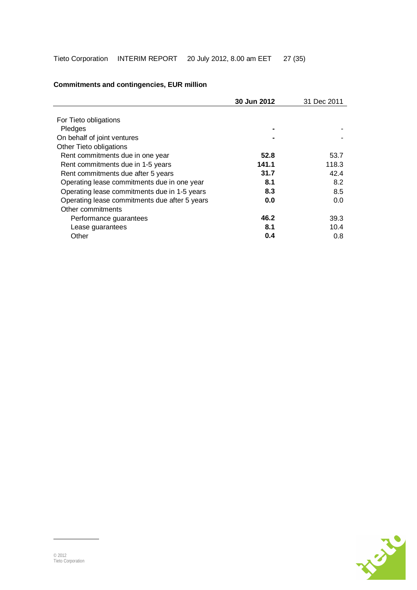|                                               | 30 Jun 2012 | 31 Dec 2011 |
|-----------------------------------------------|-------------|-------------|
|                                               |             |             |
| For Tieto obligations                         |             |             |
| Pledges                                       |             |             |
| On behalf of joint ventures                   |             |             |
| Other Tieto obligations                       |             |             |
| Rent commitments due in one year              | 52.8        | 53.7        |
| Rent commitments due in 1-5 years             | 141.1       | 118.3       |
| Rent commitments due after 5 years            | 31.7        | 42.4        |
| Operating lease commitments due in one year   | 8.1         | 8.2         |
| Operating lease commitments due in 1-5 years  | 8.3         | 8.5         |
| Operating lease commitments due after 5 years | 0.0         | 0.0         |
| Other commitments                             |             |             |
| Performance guarantees                        | 46.2        | 39.3        |
| Lease guarantees                              | 8.1         | 10.4        |
| Other                                         | 0.4         | 0.8         |

# **Commitments and contingencies, EUR million**

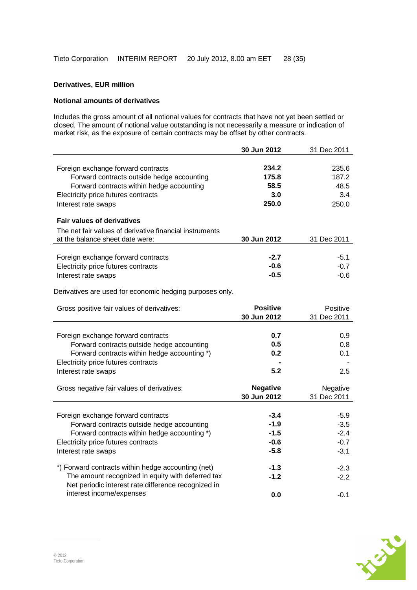# **Derivatives, EUR million**

#### **Notional amounts of derivatives**

Includes the gross amount of all notional values for contracts that have not yet been settled or closed. The amount of notional value outstanding is not necessarily a measure or indication of market risk, as the exposure of certain contracts may be offset by other contracts.

|                                                          | 30 Jun 2012     | 31 Dec 2011 |
|----------------------------------------------------------|-----------------|-------------|
|                                                          |                 |             |
| Foreign exchange forward contracts                       | 234.2           | 235.6       |
| Forward contracts outside hedge accounting               | 175.8           | 187.2       |
| Forward contracts within hedge accounting                | 58.5            | 48.5        |
| Electricity price futures contracts                      | 3.0             | 3.4         |
| Interest rate swaps                                      | 250.0           | 250.0       |
|                                                          |                 |             |
| <b>Fair values of derivatives</b>                        |                 |             |
| The net fair values of derivative financial instruments  |                 |             |
| at the balance sheet date were:                          | 30 Jun 2012     | 31 Dec 2011 |
|                                                          |                 |             |
| Foreign exchange forward contracts                       | $-2.7$          | $-5.1$      |
| Electricity price futures contracts                      | $-0.6$          | $-0.7$      |
| Interest rate swaps                                      | $-0.5$          | $-0.6$      |
|                                                          |                 |             |
| Derivatives are used for economic hedging purposes only. |                 |             |
| Gross positive fair values of derivatives:               | <b>Positive</b> | Positive    |
|                                                          | 30 Jun 2012     | 31 Dec 2011 |
|                                                          |                 |             |
| Foreign exchange forward contracts                       | 0.7             | 0.9         |
| Forward contracts outside hedge accounting               | 0.5             | 0.8         |
| Forward contracts within hedge accounting *)             | 0.2             | 0.1         |
| Electricity price futures contracts                      |                 |             |
| Interest rate swaps                                      | 5.2             | 2.5         |
|                                                          |                 |             |
| Gross negative fair values of derivatives:               | <b>Negative</b> | Negative    |
|                                                          | 30 Jun 2012     | 31 Dec 2011 |
|                                                          |                 |             |
| Foreign exchange forward contracts                       | $-3.4$          | $-5.9$      |
| Forward contracts outside hedge accounting               | $-1.9$          | $-3.5$      |
| Forward contracts within hedge accounting *)             | $-1.5$          | $-2.4$      |
| Electricity price futures contracts                      | $-0.6$          | $-0.7$      |
| Interest rate swaps                                      | $-5.8$          | $-3.1$      |
|                                                          |                 |             |
| *) Forward contracts within hedge accounting (net)       | $-1.3$          | $-2.3$      |
| The amount recognized in equity with deferred tax        | $-1.2$          | $-2.2$      |
| Net periodic interest rate difference recognized in      |                 |             |
| interest income/expenses                                 | 0.0             | $-0.1$      |

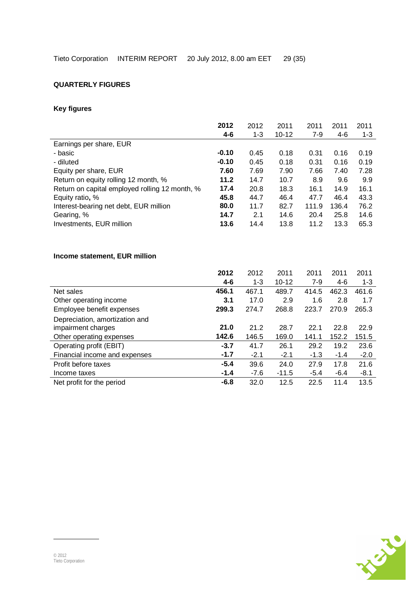# **QUARTERLY FIGURES**

# **Key figures**

| 2012    | 2012    | 2011      | 2011  | 2011  | 2011    |
|---------|---------|-----------|-------|-------|---------|
| $4 - 6$ | $1 - 3$ | $10 - 12$ | $7-9$ | $4-6$ | $1 - 3$ |
|         |         |           |       |       |         |
| $-0.10$ | 0.45    | 0.18      | 0.31  | 0.16  | 0.19    |
| $-0.10$ | 0.45    | 0.18      | 0.31  | 0.16  | 0.19    |
| 7.60    | 7.69    | 7.90      | 7.66  | 7.40  | 7.28    |
| 11.2    | 14.7    | 10.7      | 8.9   | 9.6   | 9.9     |
| 17.4    | 20.8    | 18.3      | 16.1  | 14.9  | 16.1    |
| 45.8    | 44.7    | 46.4      | 47.7  | 46.4  | 43.3    |
| 80.0    | 11.7    | 82.7      | 111.9 | 136.4 | 76.2    |
| 14.7    | 2.1     | 14.6      | 20.4  | 25.8  | 14.6    |
| 13.6    | 14.4    | 13.8      | 11.2  | 13.3  | 65.3    |
|         |         |           |       |       |         |

# **Income statement, EUR million**

|                                | 2012    | 2012    | 2011      | 2011   | 2011   | 2011    |
|--------------------------------|---------|---------|-----------|--------|--------|---------|
|                                | $4 - 6$ | $1 - 3$ | $10 - 12$ | $7-9$  | $4-6$  | $1 - 3$ |
| Net sales                      | 456.1   | 467.1   | 489.7     | 414.5  | 462.3  | 461.6   |
| Other operating income         | 3.1     | 17.0    | 2.9       | 1.6    | 2.8    | 1.7     |
| Employee benefit expenses      | 299.3   | 274.7   | 268.8     | 223.7  | 270.9  | 265.3   |
| Depreciation, amortization and |         |         |           |        |        |         |
| impairment charges             | 21.0    | 21.2    | 28.7      | 22.1   | 22.8   | 22.9    |
| Other operating expenses       | 142.6   | 146.5   | 169.0     | 141.1  | 152.2  | 151.5   |
| Operating profit (EBIT)        | $-3.7$  | 41.7    | 26.1      | 29.2   | 19.2   | 23.6    |
| Financial income and expenses  | $-1.7$  | $-2.1$  | $-2.1$    | $-1.3$ | $-1.4$ | $-2.0$  |
| Profit before taxes            | $-5.4$  | 39.6    | 24.0      | 27.9   | 17.8   | 21.6    |
| Income taxes                   | $-1.4$  | $-7.6$  | $-11.5$   | $-5.4$ | $-6.4$ | $-8.1$  |
| Net profit for the period      | $-6.8$  | 32.0    | 12.5      | 22.5   | 11.4   | 13.5    |

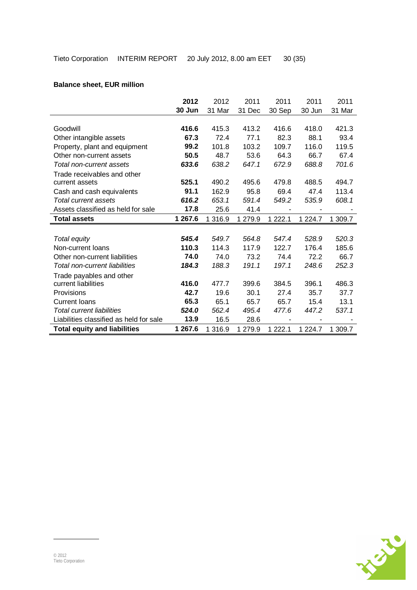|                                         | 2012    | 2012    | 2011    | 2011                     | 2011        | 2011    |
|-----------------------------------------|---------|---------|---------|--------------------------|-------------|---------|
|                                         | 30 Jun  | 31 Mar  | 31 Dec  | 30 Sep                   | 30 Jun      | 31 Mar  |
|                                         |         |         |         |                          |             |         |
| Goodwill                                | 416.6   | 415.3   | 413.2   | 416.6                    | 418.0       | 421.3   |
| Other intangible assets                 | 67.3    | 72.4    | 77.1    | 82.3                     | 88.1        | 93.4    |
| Property, plant and equipment           | 99.2    | 101.8   | 103.2   | 109.7                    | 116.0       | 119.5   |
| Other non-current assets                | 50.5    | 48.7    | 53.6    | 64.3                     | 66.7        | 67.4    |
| Total non-current assets                | 633.6   | 638.2   | 647.1   | 672.9                    | 688.8       | 701.6   |
| Trade receivables and other             |         |         |         |                          |             |         |
| current assets                          | 525.1   | 490.2   | 495.6   | 479.8                    | 488.5       | 494.7   |
| Cash and cash equivalents               | 91.1    | 162.9   | 95.8    | 69.4                     | 47.4        | 113.4   |
| Total current assets                    | 616.2   | 653.1   | 591.4   | 549.2                    | 535.9       | 608.1   |
| Assets classified as held for sale      | 17.8    | 25.6    | 41.4    | $\overline{\phantom{a}}$ |             |         |
| <b>Total assets</b>                     | 1 267.6 | 1 316.9 | 1 279.9 | 1 2 2 2 . 1              | 1 2 2 4 . 7 | 1 309.7 |
|                                         |         |         |         |                          |             |         |
| Total equity                            | 545.4   | 549.7   | 564.8   | 547.4                    | 528.9       | 520.3   |
| Non-current loans                       | 110.3   | 114.3   | 117.9   | 122.7                    | 176.4       | 185.6   |
| Other non-current liabilities           | 74.0    | 74.0    | 73.2    | 74.4                     | 72.2        | 66.7    |
| Total non-current liabilities           | 184.3   | 188.3   | 191.1   | 197.1                    | 248.6       | 252.3   |
| Trade payables and other                |         |         |         |                          |             |         |
| current liabilities                     | 416.0   | 477.7   | 399.6   | 384.5                    | 396.1       | 486.3   |
| Provisions                              | 42.7    | 19.6    | 30.1    | 27.4                     | 35.7        | 37.7    |
| <b>Current loans</b>                    | 65.3    | 65.1    | 65.7    | 65.7                     | 15.4        | 13.1    |
| <b>Total current liabilities</b>        | 524.0   | 562.4   | 495.4   | 477.6                    | 447.2       | 537.1   |
| Liabilities classified as held for sale | 13.9    | 16.5    | 28.6    | -                        |             |         |
| <b>Total equity and liabilities</b>     | 1 267.6 | 1 316.9 | 1 279.9 | 1 2 2 2 . 1              | 1 2 2 4 . 7 | 1 309.7 |

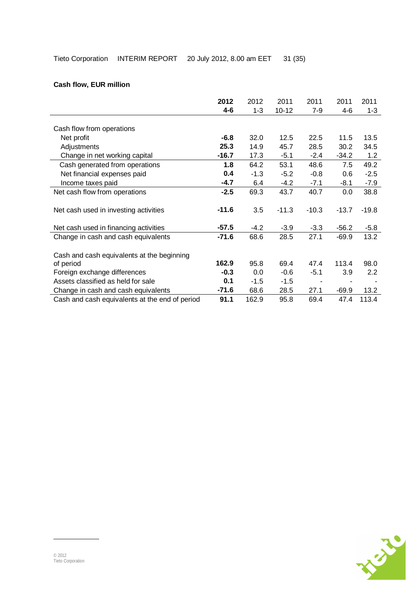# **Cash flow, EUR million**

| 2012    | 2012    | 2011      | 2011           | 2011    | 2011          |
|---------|---------|-----------|----------------|---------|---------------|
| 4-6     | $1 - 3$ | $10 - 12$ | $7-9$          | 4-6     | $1 - 3$       |
|         |         |           |                |         |               |
|         |         |           |                |         |               |
| $-6.8$  | 32.0    | 12.5      | 22.5           | 11.5    | 13.5          |
| 25.3    | 14.9    | 45.7      | 28.5           | 30.2    | 34.5          |
| $-16.7$ | 17.3    | $-5.1$    | $-2.4$         | $-34.2$ | 1.2           |
| 1.8     | 64.2    | 53.1      | 48.6           | 7.5     | 49.2          |
| 0.4     | $-1.3$  | $-5.2$    | $-0.8$         | 0.6     | $-2.5$        |
| $-4.7$  | 6.4     | $-4.2$    | $-7.1$         | -8.1    | $-7.9$        |
| $-2.5$  | 69.3    | 43.7      | 40.7           | 0.0     | 38.8          |
|         |         |           |                |         |               |
| $-11.6$ | 3.5     | $-11.3$   | $-10.3$        | $-13.7$ | $-19.8$       |
|         |         |           |                |         |               |
| $-57.5$ | -4.2    | $-3.9$    | $-3.3$         | $-56.2$ | $-5.8$        |
| -71.6   | 68.6    | 28.5      | 27.1           | $-69.9$ | 13.2          |
|         |         |           |                |         |               |
|         |         |           |                |         |               |
|         |         | 69.4      | 47.4           |         | 98.0          |
| $-0.3$  | 0.0     | $-0.6$    | $-5.1$         | 3.9     | $2.2^{\circ}$ |
| 0.1     | $-1.5$  | $-1.5$    | $\blacksquare$ |         |               |
| $-71.6$ | 68.6    | 28.5      | 27.1           | $-69.9$ | 13.2          |
| 91.1    | 162.9   | 95.8      | 69.4           | 47.4    | 113.4         |
|         | 162.9   | 95.8      |                |         | 113.4         |

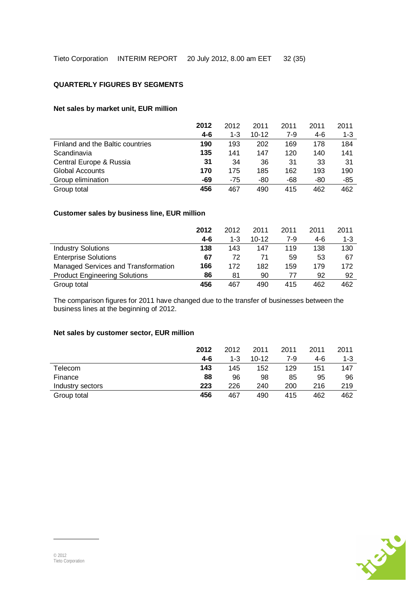#### **QUARTERLY FIGURES BY SEGMENTS**

#### **Net sales by market unit, EUR million**

|                                  | 2012    | 2012    | 2011      | 2011  | 2011  | 2011    |
|----------------------------------|---------|---------|-----------|-------|-------|---------|
|                                  | $4 - 6$ | $1 - 3$ | $10 - 12$ | $7-9$ | $4-6$ | $1 - 3$ |
| Finland and the Baltic countries | 190     | 193     | 202       | 169   | 178   | 184     |
| Scandinavia                      | 135     | 141     | 147       | 120   | 140   | 141     |
| Central Europe & Russia          | 31      | 34      | 36        | 31    | 33    | 31      |
| <b>Global Accounts</b>           | 170     | 175     | 185       | 162   | 193   | 190     |
| Group elimination                | -69     | $-75$   | -80       | -68   | -80   | -85     |
| Group total                      | 456     | 467     | 490       | 415   | 462   | 462     |

## **Customer sales by business line, EUR million**

|                                      | 2012  | 2012    | 2011      | 2011  | 2011 | 2011    |
|--------------------------------------|-------|---------|-----------|-------|------|---------|
|                                      | $4-6$ | $1 - 3$ | $10 - 12$ | $7-9$ | 4-6  | $1 - 3$ |
| <b>Industry Solutions</b>            | 138   | 143     | 147       | 119   | 138  | 130     |
| <b>Enterprise Solutions</b>          | 67    | 72      | 71        | 59    | 53   | 67      |
| Managed Services and Transformation  | 166   | 172     | 182       | 159   | 179  | 172     |
| <b>Product Engineering Solutions</b> | 86    | 81      | 90        | 77    | 92   | 92      |
| Group total                          | 456   | 467     | 490       | 415   | 462  | 462     |

The comparison figures for 2011 have changed due to the transfer of businesses between the business lines at the beginning of 2012.

#### **Net sales by customer sector, EUR million**

|                  | 2012 | 2012    | 2011      | 2011 | 2011 | 2011    |
|------------------|------|---------|-----------|------|------|---------|
|                  | 4-6  | $1 - 3$ | $10 - 12$ | 7-9  | 4-6  | $1 - 3$ |
| Telecom          | 143  | 145     | 152       | 129  | 151  | 147     |
| Finance          | 88   | 96      | 98        | 85   | 95   | 96      |
| Industry sectors | 223  | 226     | 240       | 200  | 216  | 219     |
| Group total      | 456  | 467     | 490       | 415  | 462  | 462     |

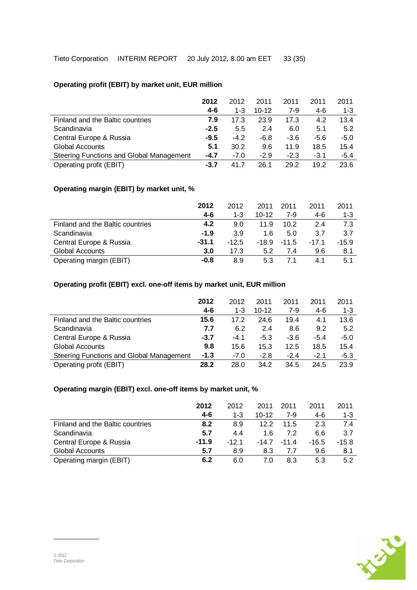# **Operating profit (EBIT) by market unit, EUR million**

|                                          | 2012   | 2012    | 2011      | 2011   | 2011   | 2011    |
|------------------------------------------|--------|---------|-----------|--------|--------|---------|
|                                          | 4-6    | $1 - 3$ | $10 - 12$ | 7-9    | 4-6    | $1 - 3$ |
| Finland and the Baltic countries         | 7.9    | 17.3    | 23.9      | 17.3   | 4.2    | 13.4    |
| Scandinavia                              | $-2.5$ | 5.5     | 2.4       | 6.0    | 5.1    | 5.2     |
| Central Europe & Russia                  | $-9.5$ | $-4.2$  | -6.8      | -3.6   | $-5.6$ | $-5.0$  |
| <b>Global Accounts</b>                   | 5.1    | 30.2    | 9.6       | 11.9   | 18.5   | 15.4    |
| Steering Functions and Global Management | $-4.7$ | $-7.0$  | $-2.9$    | $-2.3$ | $-3.1$ | $-5.4$  |
| Operating profit (EBIT)                  | -3.7   | 41 7    | 26.1      | 29.2   | 19.2   | 23.6    |

## **Operating margin (EBIT) by market unit, %**

|                                  | 2012    | 2012    | 2011    | 2011    | 2011    | 2011    |
|----------------------------------|---------|---------|---------|---------|---------|---------|
|                                  | 4-6     | $1 - 3$ | $10-12$ | 7-9     | 4-6     | $1 - 3$ |
| Finland and the Baltic countries | 4.2     | 9.0     | 11.9    | 10.2    | 2.4     | 7.3     |
| Scandinavia                      | $-1.9$  | 3.9     | 1 6     | 5.0     | 3.7     | 3.7     |
| Central Europe & Russia          | $-31.1$ | $-12.5$ | -18.9   | $-11.5$ | $-17.1$ | $-15.9$ |
| Global Accounts                  | 3.0     | 17.3    | 5.2     | 7.4     | 9.6     | 8.1     |
| Operating margin (EBIT)          | -0.8    | 8.9     | 5.3     |         | 4.1     | 5.1     |

## **Operating profit (EBIT) excl. one-off items by market unit, EUR million**

|                                          | 2012    | 2012    | 2011      | 2011   | 2011   | 2011    |
|------------------------------------------|---------|---------|-----------|--------|--------|---------|
|                                          | $4 - 6$ | $1 - 3$ | $10 - 12$ | 7-9    | 4-6    | $1 - 3$ |
| Finland and the Baltic countries         | 15.6    | 17.2    | 24.6      | 19.4   | 4.1    | 13.6    |
| Scandinavia                              | 7.7     | 6.2     | 2.4       | 8.6    | 9.2    | 5.2     |
| Central Europe & Russia                  | $-3.7$  | $-4.1$  | $-5.3$    | $-3.6$ | $-5.4$ | $-5.0$  |
| <b>Global Accounts</b>                   | 9.8     | 15.6    | 15.3      | 12.5   | 18.5   | 15.4    |
| Steering Functions and Global Management | $-1.3$  | $-7.0$  | $-2.8$    | $-2.4$ | $-2.1$ | $-5.3$  |
| Operating profit (EBIT)                  | 28.2    | 28.0    | 34.2      | 34.5   | 24.5   | 23.9    |

# **Operating margin (EBIT) excl. one-off items by market unit, %**

|                                  | 2012    | 2012    | 2011    | 2011    | 2011    | 2011    |
|----------------------------------|---------|---------|---------|---------|---------|---------|
|                                  | $4-6$   | $1 - 3$ | $10-12$ | 7-9     | 4-6     | $1 - 3$ |
| Finland and the Baltic countries | 8.2     | 8.9     | 122     | 11.5    | 2.3     | 7.4     |
| Scandinavia                      | 5.7     | 4.4     | 1 6     | 72      | 6.6     | 3.7     |
| Central Europe & Russia          | $-11.9$ | -12 1   | $-14.7$ | $-11.4$ | $-16.5$ | $-15.8$ |
| Global Accounts                  | 5.7     | 8.9     | 8.3     | 77      | 9.6     | 8.1     |
| Operating margin (EBIT)          | 6.2     | 6.0     | 7.0     | 83      | 5.3     | 5.2     |

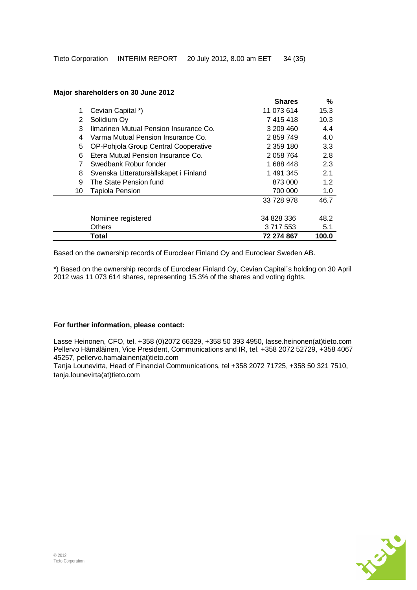|    |                                        | <b>Shares</b> | %     |
|----|----------------------------------------|---------------|-------|
| 1  | Cevian Capital *)                      | 11 073 614    | 15.3  |
| 2  | Solidium Oy                            | 7 415 418     | 10.3  |
| 3  | Ilmarinen Mutual Pension Insurance Co. | 3 209 460     | 4.4   |
| 4  | Varma Mutual Pension Insurance Co.     | 2859749       | 4.0   |
| 5  | OP-Pohjola Group Central Cooperative   | 2 359 180     | 3.3   |
| 6  | Etera Mutual Pension Insurance Co.     | 2 058 764     | 2.8   |
| 7  | Swedbank Robur fonder                  | 1688448       | 2.3   |
| 8  | Svenska Litteratursällskapet i Finland | 1 491 345     | 2.1   |
| 9  | The State Pension fund                 | 873 000       | 1.2   |
| 10 | <b>Tapiola Pension</b>                 | 700 000       | 1.0   |
|    |                                        | 33 728 978    | 46.7  |
|    | Nominee registered                     | 34 828 336    | 48.2  |
|    |                                        |               |       |
|    | <b>Others</b>                          | 3 717 553     | 5.1   |
|    | Total                                  | 72 274 867    | 100.0 |

#### **Major shareholders on 30 June 2012**

Based on the ownership records of Euroclear Finland Oy and Euroclear Sweden AB.

\*) Based on the ownership records of Euroclear Finland Oy, Cevian Capital´s holding on 30 April 2012 was 11 073 614 shares, representing 15.3% of the shares and voting rights.

#### **For further information, please contact:**

Lasse Heinonen, CFO, tel. +358 (0)2072 66329, +358 50 393 4950, lasse.heinonen(at)tieto.com Pellervo Hämäläinen, Vice President, Communications and IR, tel. +358 2072 52729, +358 4067 45257, pellervo.hamalainen(at)tieto.com

Tanja Lounevirta, Head of Financial Communications, tel +358 2072 71725, +358 50 321 7510, tanja.lounevirta(at)tieto.com